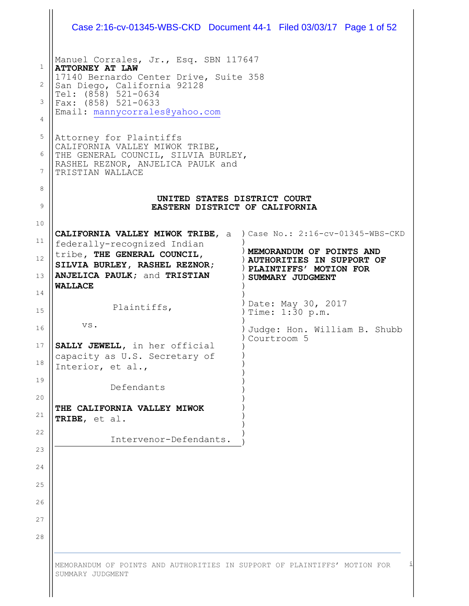| Case 2:16-cv-01345-WBS-CKD Document 44-1 Filed 03/03/17 Page 1 of 52                         |                                                            |
|----------------------------------------------------------------------------------------------|------------------------------------------------------------|
| Manuel Corrales, Jr., Esq. SBN 117647<br><b>ATTORNEY AT LAW</b>                              |                                                            |
| 17140 Bernardo Center Drive, Suite 358<br>San Diego, California 92128                        |                                                            |
| Tel: (858) 521-0634<br>Fax: (858) 521-0633                                                   |                                                            |
| Email: mannycorrales@yahoo.com                                                               |                                                            |
| Attorney for Plaintiffs<br>CALIFORNIA VALLEY MIWOK TRIBE,                                    |                                                            |
| THE GENERAL COUNCIL, SILVIA BURLEY,<br>RASHEL REZNOR, ANJELICA PAULK and<br>TRISTIAN WALLACE |                                                            |
| UNITED STATES DISTRICT COURT                                                                 |                                                            |
| EASTERN DISTRICT OF CALIFORNIA                                                               |                                                            |
| CALIFORNIA VALLEY MIWOK TRIBE, a ) Case No.: 2:16-cv-01345-WBS-CKD                           |                                                            |
| federally-recognized Indian<br>tribe, THE GENERAL COUNCIL,                                   | MEMORANDUM OF POINTS AND                                   |
| SILVIA BURLEY, RASHEL REZNOR;                                                                | <b>AUTHORITIES IN SUPPORT OF</b><br>PLAINTIFFS' MOTION FOR |
| ANJELICA PAULK; and TRISTIAN<br><b>WALLACE</b>                                               | SUMMARY JUDGMENT                                           |
| Plaintiffs,                                                                                  | Date: May 30, 2017 (<br>Time: $1:\bar{3}0 \text{ p.m.}$    |
| VS.                                                                                          | Judge: Hon. William B. Shubb<br>Courtroom 5                |
| SALLY JEWELL, in her official<br>capacity as U.S. Secretary of<br>Interior, et al.,          |                                                            |
| Defendants                                                                                   |                                                            |
| THE CALIFORNIA VALLEY MIWOK<br>TRIBE, et al.                                                 |                                                            |
|                                                                                              |                                                            |

 $\bigg\} \bigg|$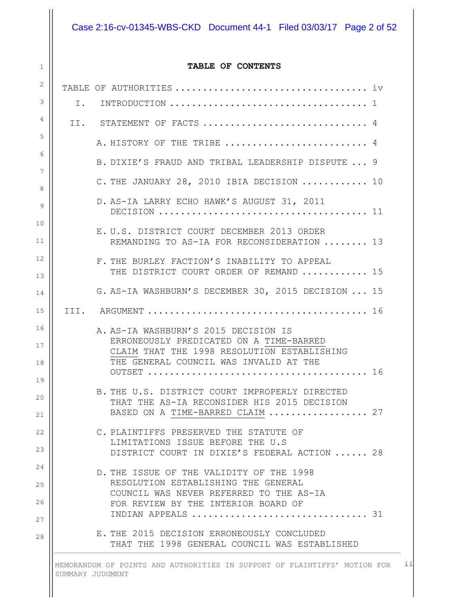Case 2:16-cv-01345-WBS-CKD Document 44-1 Filed 03/03/17 Page 2 of 52

#### **TABLE OF CONTENTS**

1

| 2              |    |                                                                                               |
|----------------|----|-----------------------------------------------------------------------------------------------|
| 3              | Ι. |                                                                                               |
| $\overline{4}$ |    | II. STATEMENT OF FACTS  4                                                                     |
| 5              |    | A. HISTORY OF THE TRIBE  4                                                                    |
| 6              |    | B. DIXIE'S FRAUD AND TRIBAL LEADERSHIP DISPUTE  9                                             |
| 7              |    | C. THE JANUARY 28, 2010 IBIA DECISION  10                                                     |
| 8<br>9         |    | D. AS-IA LARRY ECHO HAWK'S AUGUST 31, 2011                                                    |
| 10             |    |                                                                                               |
| 11             |    | E. U.S. DISTRICT COURT DECEMBER 2013 ORDER<br>REMANDING TO AS-IA FOR RECONSIDERATION  13      |
| 12             |    | F. THE BURLEY FACTION'S INABILITY TO APPEAL                                                   |
| 13             |    | THE DISTRICT COURT ORDER OF REMAND  15                                                        |
| 14             |    | G. AS-IA WASHBURN'S DECEMBER 30, 2015 DECISION  15                                            |
| 15             |    |                                                                                               |
| 16<br>17       |    | A. AS-IA WASHBURN'S 2015 DECISION IS<br>ERRONEOUSLY PREDICATED ON A TIME-BARRED               |
| 18             |    | CLAIM THAT THE 1998 RESOLUTION ESTABLISHING<br>THE GENERAL COUNCIL WAS INVALID AT THE         |
| 19             |    |                                                                                               |
| 20             |    | B. THE U.S. DISTRICT COURT IMPROPERLY DIRECTED<br>THAT THE AS-IA RECONSIDER HIS 2015 DECISION |
| 21             |    | BASED ON A TIME-BARRED CLAIM  27                                                              |
| 22             |    | C. PLAINTIFFS PRESERVED THE STATUTE OF<br>LIMITATIONS ISSUE BEFORE THE U.S                    |
| 23             |    | DISTRICT COURT IN DIXIE'S FEDERAL ACTION  28                                                  |
| 24             |    | D. THE ISSUE OF THE VALIDITY OF THE 1998                                                      |
| 25             |    | RESOLUTION ESTABLISHING THE GENERAL<br>COUNCIL WAS NEVER REFERRED TO THE AS-IA                |
| 26             |    | FOR REVIEW BY THE INTERIOR BOARD OF<br>INDIAN APPEALS  31                                     |
| 27             |    | E. THE 2015 DECISION ERRONEOUSLY CONCLUDED                                                    |
| 28             |    | THAT THE 1998 GENERAL COUNCIL WAS ESTABLISHED                                                 |
|                |    |                                                                                               |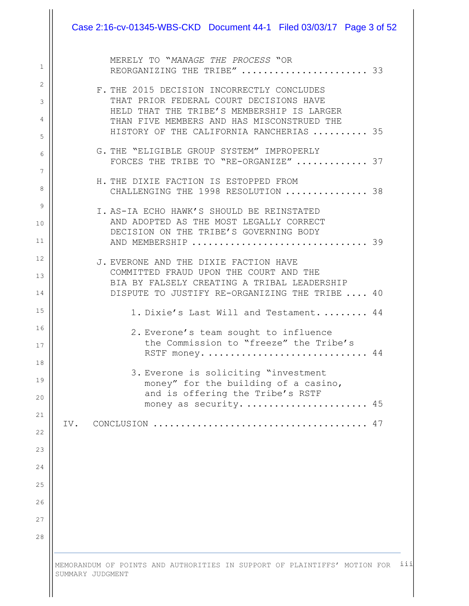|     | MERELY TO "MANAGE THE PROCESS "OR<br>REORGANIZING THE TRIBE"  33                                                                                                                                                                                   |
|-----|----------------------------------------------------------------------------------------------------------------------------------------------------------------------------------------------------------------------------------------------------|
|     | F. THE 2015 DECISION INCORRECTLY CONCLUDES<br>THAT PRIOR FEDERAL COURT DECISIONS HAVE<br>HELD THAT THE TRIBE'S MEMBERSHIP IS LARGER<br>THAN FIVE MEMBERS AND HAS MISCONSTRUED THE<br>HISTORY OF THE CALIFORNIA RANCHERIAS  35                      |
|     | G. THE "ELIGIBLE GROUP SYSTEM" IMPROPERLY<br>FORCES THE TRIBE TO "RE-ORGANIZE"  37                                                                                                                                                                 |
|     | H. THE DIXIE FACTION IS ESTOPPED FROM<br>CHALLENGING THE 1998 RESOLUTION  38                                                                                                                                                                       |
|     | I. AS-IA ECHO HAWK'S SHOULD BE REINSTATED<br>AND ADOPTED AS THE MOST LEGALLY CORRECT<br>DECISION ON THE TRIBE'S GOVERNING BODY<br>AND MEMBERSHIP  39                                                                                               |
|     | J. EVERONE AND THE DIXIE FACTION HAVE<br>COMMITTED FRAUD UPON THE COURT AND THE<br>BIA BY FALSELY CREATING A TRIBAL LEADERSHIP<br>DISPUTE TO JUSTIFY RE-ORGANIZING THE TRIBE  40                                                                   |
|     | 1. Dixie's Last Will and Testament.  44                                                                                                                                                                                                            |
|     | 2. Everone's team sought to influence<br>the Commission to "freeze" the Tribe's<br>44<br>RSTF money.<br>3. Everone is soliciting "investment<br>money" for the building of a casino,<br>and is offering the Tribe's RSTF<br>money as security.  45 |
| IV. |                                                                                                                                                                                                                                                    |
|     |                                                                                                                                                                                                                                                    |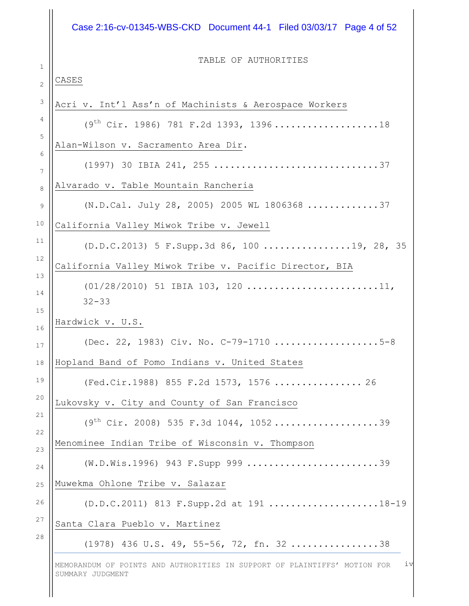# Case 2:16-cv-01345-WBS-CKD Document 44-1 Filed 03/03/17 Page 4 of 52

TABLE OF AUTHORITIES

| Acri v. Int'l Ass'n of Machinists & Aerospace Workers                       |
|-----------------------------------------------------------------------------|
| $(9th Cir. 1986) 781 F.2d 1393, 1396 \ldots \ldots \ldots \ldots \ldots 18$ |
| Alan-Wilson v. Sacramento Area Dir.                                         |
| (1997) 30 IBIA 241, 255 37                                                  |
| Alvarado v. Table Mountain Rancheria                                        |
| (N.D.Cal. July 28, 2005) 2005 WL 1806368 37                                 |
| California Valley Miwok Tribe v. Jewell                                     |
| (D.D.C.2013) 5 F.Supp.3d 86, 100 19, 28, 35                                 |
| California Valley Miwok Tribe v. Pacific Director, BIA                      |
| $(01/28/2010)$ 51 IBIA 103, 120 11,<br>$32 - 33$                            |
| Hardwick v. U.S.                                                            |
| (Dec. 22, 1983) Civ. No. C-79-1710 5-8                                      |
| Hopland Band of Pomo Indians v. United States                               |
| (Fed.Cir.1988) 855 F.2d 1573, 1576  26                                      |
| Lukovsky v. City and County of San Francisco                                |
| $(9th Cir. 2008) 535 F.3d 1044, 1052$                                       |
| Menominee Indian Tribe of Wisconsin v. Thompson                             |
| (W.D.Wis.1996) 943 F.Supp 999 39                                            |
| Muwekma Ohlone Tribe v. Salazar                                             |
| (D.D.C.2011) 813 F.Supp.2d at 191 18-19                                     |
| Santa Clara Pueblo v. Martinez                                              |
| $(1978)$ 436 U.S. 49, 55-56, 72, fn. 3238                                   |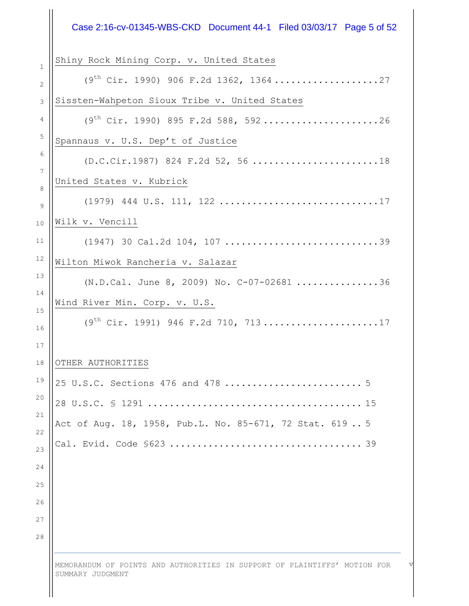| Shiny Rock Mining Corp. v. United States<br>2<br>Sissten-Wahpeton Sioux Tribe v. United States<br>$\mathsf 3$<br>$(9th$ Cir. 1990) 895 F.2d 588, 59226<br>4<br>5<br>Spannaus v. U.S. Dep't of Justice<br>6<br>(D.C.Cir.1987) 824 F.2d 52, 56 18<br>$\boldsymbol{7}$<br>United States v. Kubrick<br>Wilk v. Vencill<br>10<br>(1947) 30 Cal.2d 104, 107 39<br>11<br>12<br>Wilton Miwok Rancheria v. Salazar<br>13<br>(N.D.Cal. June 8, 2009) No. C-07-02681 36<br>Wind River Min. Corp. v. U.S.<br>15<br>$(9th Cir. 1991)$ 946 F.2d 710, 71317<br>16<br>17<br>18<br>OTHER AUTHORITIES<br>19<br>20<br>Act of Aug. 18, 1958, Pub.L. No. 85-671, 72 Stat. 6195<br>22<br>23<br>24<br>25<br>26<br>27 | Case 2:16-cv-01345-WBS-CKD Document 44-1 Filed 03/03/17 Page 5 of 52 |
|-----------------------------------------------------------------------------------------------------------------------------------------------------------------------------------------------------------------------------------------------------------------------------------------------------------------------------------------------------------------------------------------------------------------------------------------------------------------------------------------------------------------------------------------------------------------------------------------------------------------------------------------------------------------------------------------------|----------------------------------------------------------------------|
|                                                                                                                                                                                                                                                                                                                                                                                                                                                                                                                                                                                                                                                                                               |                                                                      |
|                                                                                                                                                                                                                                                                                                                                                                                                                                                                                                                                                                                                                                                                                               |                                                                      |
|                                                                                                                                                                                                                                                                                                                                                                                                                                                                                                                                                                                                                                                                                               |                                                                      |
|                                                                                                                                                                                                                                                                                                                                                                                                                                                                                                                                                                                                                                                                                               |                                                                      |
|                                                                                                                                                                                                                                                                                                                                                                                                                                                                                                                                                                                                                                                                                               |                                                                      |
|                                                                                                                                                                                                                                                                                                                                                                                                                                                                                                                                                                                                                                                                                               |                                                                      |
|                                                                                                                                                                                                                                                                                                                                                                                                                                                                                                                                                                                                                                                                                               |                                                                      |
|                                                                                                                                                                                                                                                                                                                                                                                                                                                                                                                                                                                                                                                                                               |                                                                      |
|                                                                                                                                                                                                                                                                                                                                                                                                                                                                                                                                                                                                                                                                                               |                                                                      |
|                                                                                                                                                                                                                                                                                                                                                                                                                                                                                                                                                                                                                                                                                               |                                                                      |
|                                                                                                                                                                                                                                                                                                                                                                                                                                                                                                                                                                                                                                                                                               |                                                                      |
|                                                                                                                                                                                                                                                                                                                                                                                                                                                                                                                                                                                                                                                                                               |                                                                      |
|                                                                                                                                                                                                                                                                                                                                                                                                                                                                                                                                                                                                                                                                                               |                                                                      |
|                                                                                                                                                                                                                                                                                                                                                                                                                                                                                                                                                                                                                                                                                               |                                                                      |
|                                                                                                                                                                                                                                                                                                                                                                                                                                                                                                                                                                                                                                                                                               |                                                                      |
|                                                                                                                                                                                                                                                                                                                                                                                                                                                                                                                                                                                                                                                                                               |                                                                      |
|                                                                                                                                                                                                                                                                                                                                                                                                                                                                                                                                                                                                                                                                                               |                                                                      |
|                                                                                                                                                                                                                                                                                                                                                                                                                                                                                                                                                                                                                                                                                               |                                                                      |
|                                                                                                                                                                                                                                                                                                                                                                                                                                                                                                                                                                                                                                                                                               |                                                                      |
|                                                                                                                                                                                                                                                                                                                                                                                                                                                                                                                                                                                                                                                                                               |                                                                      |
|                                                                                                                                                                                                                                                                                                                                                                                                                                                                                                                                                                                                                                                                                               |                                                                      |
|                                                                                                                                                                                                                                                                                                                                                                                                                                                                                                                                                                                                                                                                                               |                                                                      |
|                                                                                                                                                                                                                                                                                                                                                                                                                                                                                                                                                                                                                                                                                               |                                                                      |
|                                                                                                                                                                                                                                                                                                                                                                                                                                                                                                                                                                                                                                                                                               |                                                                      |
| 28                                                                                                                                                                                                                                                                                                                                                                                                                                                                                                                                                                                                                                                                                            |                                                                      |

 $\parallel$ 

v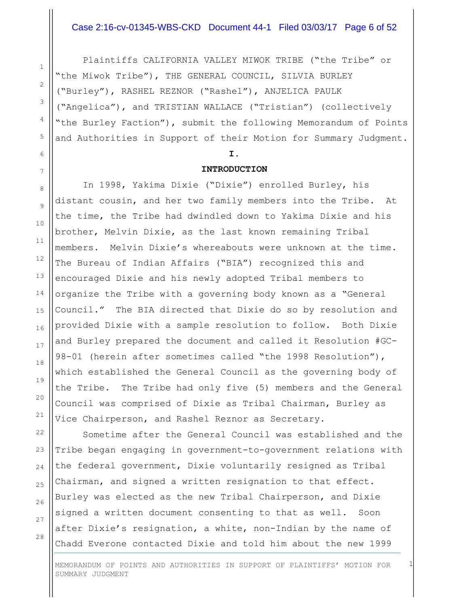#### Case 2:16-cv-01345-WBS-CKD Document 44-1 Filed 03/03/17 Page 6 of 52

Plaintiffs CALIFORNIA VALLEY MIWOK TRIBE ("the Tribe" or "the Miwok Tribe"), THE GENERAL COUNCIL, SILVIA BURLEY ("Burley"), RASHEL REZNOR ("Rashel"), ANJELICA PAULK ("Angelica"), and TRISTIAN WALLACE ("Tristian") (collectively "the Burley Faction"), submit the following Memorandum of Points and Authorities in Support of their Motion for Summary Judgment.

#### **I.**

#### **INTRODUCTION**

In 1998, Yakima Dixie ("Dixie") enrolled Burley, his distant cousin, and her two family members into the Tribe. At the time, the Tribe had dwindled down to Yakima Dixie and his brother, Melvin Dixie, as the last known remaining Tribal members. Melvin Dixie's whereabouts were unknown at the time. The Bureau of Indian Affairs ("BIA") recognized this and encouraged Dixie and his newly adopted Tribal members to organize the Tribe with a governing body known as a "General Council." The BIA directed that Dixie do so by resolution and provided Dixie with a sample resolution to follow. Both Dixie and Burley prepared the document and called it Resolution #GC-98-01 (herein after sometimes called "the 1998 Resolution"), which established the General Council as the governing body of the Tribe. The Tribe had only five (5) members and the General Council was comprised of Dixie as Tribal Chairman, Burley as Vice Chairperson, and Rashel Reznor as Secretary.

Sometime after the General Council was established and the Tribe began engaging in government-to-government relations with the federal government, Dixie voluntarily resigned as Tribal Chairman, and signed a written resignation to that effect. Burley was elected as the new Tribal Chairperson, and Dixie signed a written document consenting to that as well. Soon after Dixie's resignation, a white, non-Indian by the name of Chadd Everone contacted Dixie and told him about the new 1999

28

1

MEMORANDUM OF POINTS AND AUTHORITIES IN SUPPORT OF PLAINTIFFS' MOTION FOR SUMMARY JUDGMENT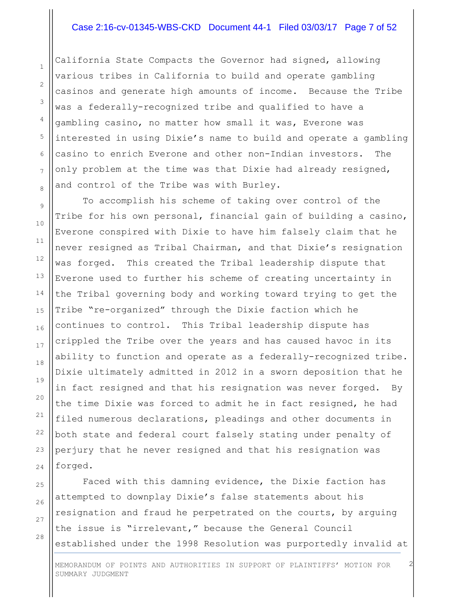#### Case 2:16-cv-01345-WBS-CKD Document 44-1 Filed 03/03/17 Page 7 of 52

California State Compacts the Governor had signed, allowing various tribes in California to build and operate gambling casinos and generate high amounts of income. Because the Tribe was a federally-recognized tribe and qualified to have a gambling casino, no matter how small it was, Everone was interested in using Dixie's name to build and operate a gambling casino to enrich Everone and other non-Indian investors. The only problem at the time was that Dixie had already resigned, and control of the Tribe was with Burley.

To accomplish his scheme of taking over control of the Tribe for his own personal, financial gain of building a casino, Everone conspired with Dixie to have him falsely claim that he never resigned as Tribal Chairman, and that Dixie's resignation was forged. This created the Tribal leadership dispute that Everone used to further his scheme of creating uncertainty in the Tribal governing body and working toward trying to get the Tribe "re-organized" through the Dixie faction which he continues to control. This Tribal leadership dispute has crippled the Tribe over the years and has caused havoc in its ability to function and operate as a federally-recognized tribe. Dixie ultimately admitted in 2012 in a sworn deposition that he in fact resigned and that his resignation was never forged. By the time Dixie was forced to admit he in fact resigned, he had filed numerous declarations, pleadings and other documents in both state and federal court falsely stating under penalty of perjury that he never resigned and that his resignation was forged.

Faced with this damning evidence, the Dixie faction has attempted to downplay Dixie's false statements about his resignation and fraud he perpetrated on the courts, by arguing the issue is "irrelevant," because the General Council established under the 1998 Resolution was purportedly invalid at

MEMORANDUM OF POINTS AND AUTHORITIES IN SUPPORT OF PLAINTIFFS' MOTION FOR SUMMARY JUDGMENT

2

1

2

3

4

5

6

7

8

9

10

11

12

13

14

15

16

17

18

19

20

21

22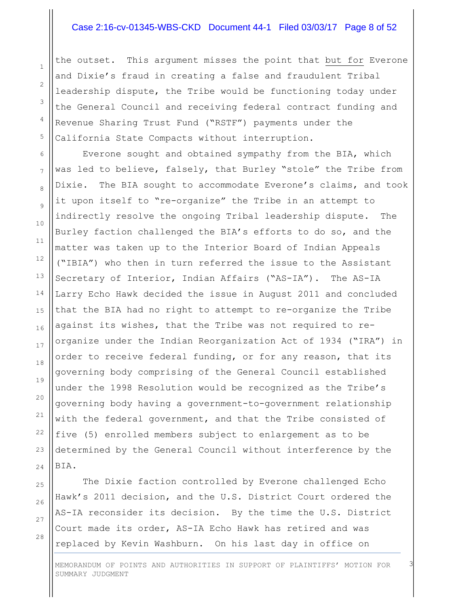#### Case 2:16-cv-01345-WBS-CKD Document 44-1 Filed 03/03/17 Page 8 of 52

the outset. This argument misses the point that but for Everone and Dixie's fraud in creating a false and fraudulent Tribal leadership dispute, the Tribe would be functioning today under the General Council and receiving federal contract funding and Revenue Sharing Trust Fund ("RSTF") payments under the California State Compacts without interruption.

Everone sought and obtained sympathy from the BIA, which was led to believe, falsely, that Burley "stole" the Tribe from Dixie. The BIA sought to accommodate Everone's claims, and took it upon itself to "re-organize" the Tribe in an attempt to indirectly resolve the ongoing Tribal leadership dispute. The Burley faction challenged the BIA's efforts to do so, and the matter was taken up to the Interior Board of Indian Appeals ("IBIA") who then in turn referred the issue to the Assistant Secretary of Interior, Indian Affairs ("AS-IA"). The AS-IA Larry Echo Hawk decided the issue in August 2011 and concluded that the BIA had no right to attempt to re-organize the Tribe against its wishes, that the Tribe was not required to reorganize under the Indian Reorganization Act of 1934 ("IRA") in order to receive federal funding, or for any reason, that its governing body comprising of the General Council established under the 1998 Resolution would be recognized as the Tribe's governing body having a government-to-government relationship with the federal government, and that the Tribe consisted of five (5) enrolled members subject to enlargement as to be determined by the General Council without interference by the BIA.

The Dixie faction controlled by Everone challenged Echo Hawk's 2011 decision, and the U.S. District Court ordered the AS-IA reconsider its decision. By the time the U.S. District Court made its order, AS-IA Echo Hawk has retired and was replaced by Kevin Washburn. On his last day in office on

28

1

2

3

4

5

6

7

8

9

MEMORANDUM OF POINTS AND AUTHORITIES IN SUPPORT OF PLAINTIFFS' MOTION FOR SUMMARY JUDGMENT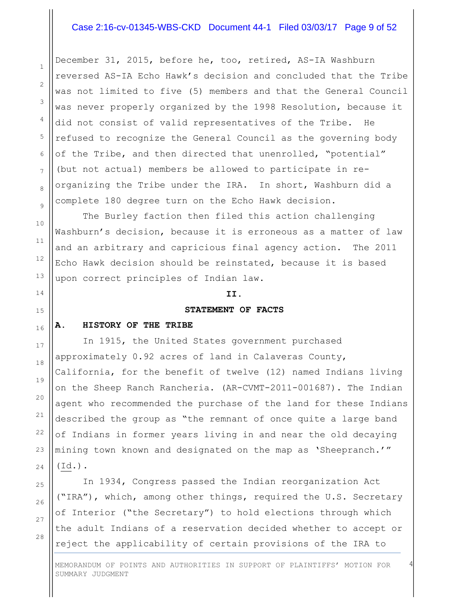## Case 2:16-cv-01345-WBS-CKD Document 44-1 Filed 03/03/17 Page 9 of 52

December 31, 2015, before he, too, retired, AS-IA Washburn reversed AS-IA Echo Hawk's decision and concluded that the Tribe was not limited to five (5) members and that the General Council was never properly organized by the 1998 Resolution, because it did not consist of valid representatives of the Tribe. He refused to recognize the General Council as the governing body of the Tribe, and then directed that unenrolled, "potential" (but not actual) members be allowed to participate in reorganizing the Tribe under the IRA. In short, Washburn did a complete 180 degree turn on the Echo Hawk decision.

The Burley faction then filed this action challenging Washburn's decision, because it is erroneous as a matter of law and an arbitrary and capricious final agency action. The 2011 Echo Hawk decision should be reinstated, because it is based upon correct principles of Indian law.

#### **II.**

#### **STATEMENT OF FACTS**

#### **A. HISTORY OF THE TRIBE**

In 1915, the United States government purchased approximately 0.92 acres of land in Calaveras County, California, for the benefit of twelve (12) named Indians living on the Sheep Ranch Rancheria. (AR-CVMT-2011-001687). The Indian agent who recommended the purchase of the land for these Indians described the group as "the remnant of once quite a large band of Indians in former years living in and near the old decaying mining town known and designated on the map as 'Sheepranch.'" (Id.).

In 1934, Congress passed the Indian reorganization Act ("IRA"), which, among other things, required the U.S. Secretary of Interior ("the Secretary") to hold elections through which the adult Indians of a reservation decided whether to accept or reject the applicability of certain provisions of the IRA to

MEMORANDUM OF POINTS AND AUTHORITIES IN SUPPORT OF PLAINTIFFS' MOTION FOR SUMMARY JUDGMENT

4

28

1

2

3

4

5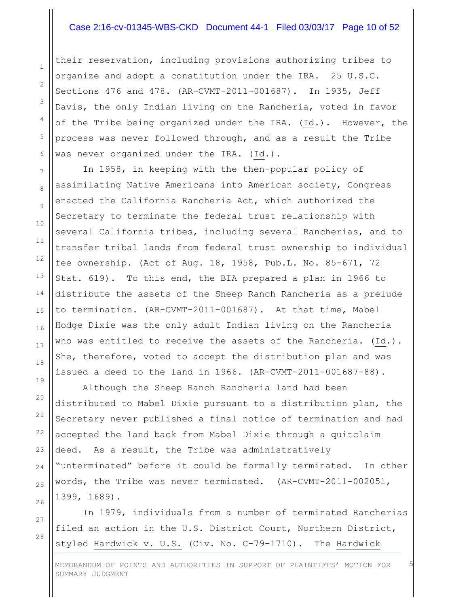#### Case 2:16-cv-01345-WBS-CKD Document 44-1 Filed 03/03/17 Page 10 of 52

their reservation, including provisions authorizing tribes to organize and adopt a constitution under the IRA. 25 U.S.C. Sections 476 and 478. (AR-CVMT-2011-001687). In 1935, Jeff Davis, the only Indian living on the Rancheria, voted in favor of the Tribe being organized under the IRA. (Id.). However, the process was never followed through, and as a result the Tribe was never organized under the IRA. (Id.).

In 1958, in keeping with the then-popular policy of assimilating Native Americans into American society, Congress enacted the California Rancheria Act, which authorized the Secretary to terminate the federal trust relationship with several California tribes, including several Rancherias, and to transfer tribal lands from federal trust ownership to individual fee ownership. (Act of Aug. 18, 1958, Pub.L. No. 85-671, 72 Stat. 619). To this end, the BIA prepared a plan in 1966 to distribute the assets of the Sheep Ranch Rancheria as a prelude to termination. (AR-CVMT-2011-001687). At that time, Mabel Hodge Dixie was the only adult Indian living on the Rancheria who was entitled to receive the assets of the Rancheria. (Id.). She, therefore, voted to accept the distribution plan and was issued a deed to the land in 1966. (AR-CVMT-2011-001687-88).

Although the Sheep Ranch Rancheria land had been distributed to Mabel Dixie pursuant to a distribution plan, the Secretary never published a final notice of termination and had accepted the land back from Mabel Dixie through a quitclaim deed. As a result, the Tribe was administratively "unterminated" before it could be formally terminated. In other words, the Tribe was never terminated. (AR-CVMT-2011-002051, 1399, 1689).

In 1979, individuals from a number of terminated Rancherias filed an action in the U.S. District Court, Northern District, styled Hardwick v. U.S. (Civ. No. C-79-1710). The Hardwick

MEMORANDUM OF POINTS AND AUTHORITIES IN SUPPORT OF PLAINTIFFS' MOTION FOR SUMMARY JUDGMENT

5

28

1

2

3

4

5

6

7

8

9

10

11

12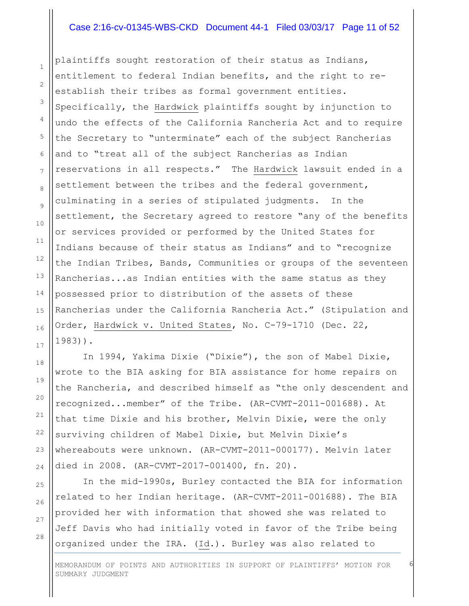#### Case 2:16-cv-01345-WBS-CKD Document 44-1 Filed 03/03/17 Page 11 of 52

plaintiffs sought restoration of their status as Indians, entitlement to federal Indian benefits, and the right to reestablish their tribes as formal government entities. Specifically, the Hardwick plaintiffs sought by injunction to undo the effects of the California Rancheria Act and to require the Secretary to "unterminate" each of the subject Rancherias and to "treat all of the subject Rancherias as Indian reservations in all respects." The Hardwick lawsuit ended in a settlement between the tribes and the federal government, culminating in a series of stipulated judgments. In the settlement, the Secretary agreed to restore "any of the benefits or services provided or performed by the United States for Indians because of their status as Indians" and to "recognize the Indian Tribes, Bands, Communities or groups of the seventeen Rancherias...as Indian entities with the same status as they possessed prior to distribution of the assets of these Rancherias under the California Rancheria Act." (Stipulation and Order, Hardwick v. United States, No. C-79-1710 (Dec. 22, 1983)).

In 1994, Yakima Dixie ("Dixie"), the son of Mabel Dixie, wrote to the BIA asking for BIA assistance for home repairs on the Rancheria, and described himself as "the only descendent and recognized...member" of the Tribe. (AR-CVMT-2011-001688). At that time Dixie and his brother, Melvin Dixie, were the only surviving children of Mabel Dixie, but Melvin Dixie's whereabouts were unknown. (AR-CVMT-2011-000177). Melvin later died in 2008. (AR-CVMT-2017-001400, fn. 20).

In the mid-1990s, Burley contacted the BIA for information related to her Indian heritage. (AR-CVMT-2011-001688). The BIA provided her with information that showed she was related to Jeff Davis who had initially voted in favor of the Tribe being organized under the IRA. (Id.). Burley was also related to

1

2

3

4

5

6

7

8

9

10

11

12

13

14

15

16

17

18

19

20

21

28

MEMORANDUM OF POINTS AND AUTHORITIES IN SUPPORT OF PLAINTIFFS' MOTION FOR SUMMARY JUDGMENT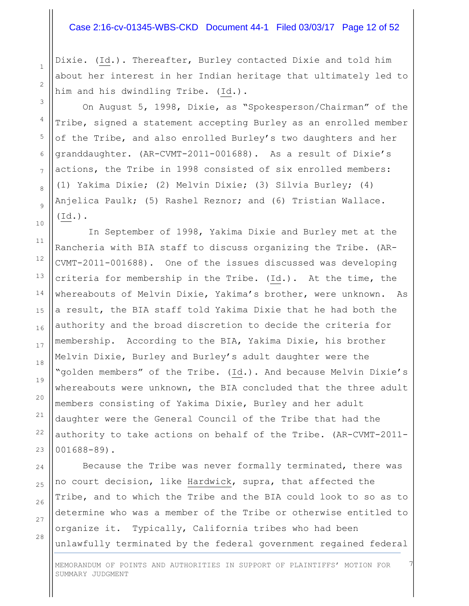## Case 2:16-cv-01345-WBS-CKD Document 44-1 Filed 03/03/17 Page 12 of 52

Dixie. (Id.). Thereafter, Burley contacted Dixie and told him about her interest in her Indian heritage that ultimately led to him and his dwindling Tribe. (Id.).

On August 5, 1998, Dixie, as "Spokesperson/Chairman" of the Tribe, signed a statement accepting Burley as an enrolled member of the Tribe, and also enrolled Burley's two daughters and her granddaughter. (AR-CVMT-2011-001688). As a result of Dixie's actions, the Tribe in 1998 consisted of six enrolled members: (1) Yakima Dixie; (2) Melvin Dixie; (3) Silvia Burley; (4) Anjelica Paulk; (5) Rashel Reznor; and (6) Tristian Wallace. (Id.).

In September of 1998, Yakima Dixie and Burley met at the Rancheria with BIA staff to discuss organizing the Tribe. (AR-CVMT-2011-001688). One of the issues discussed was developing criteria for membership in the Tribe. (Id.). At the time, the whereabouts of Melvin Dixie, Yakima's brother, were unknown. As a result, the BIA staff told Yakima Dixie that he had both the authority and the broad discretion to decide the criteria for membership. According to the BIA, Yakima Dixie, his brother Melvin Dixie, Burley and Burley's adult daughter were the "golden members" of the Tribe. (Id.). And because Melvin Dixie's whereabouts were unknown, the BIA concluded that the three adult members consisting of Yakima Dixie, Burley and her adult daughter were the General Council of the Tribe that had the authority to take actions on behalf of the Tribe. (AR-CVMT-2011- 001688-89).

Because the Tribe was never formally terminated, there was no court decision, like Hardwick, supra, that affected the Tribe, and to which the Tribe and the BIA could look to so as to determine who was a member of the Tribe or otherwise entitled to organize it. Typically, California tribes who had been unlawfully terminated by the federal government regained federal

28

1

2

3

4

5

6

7

MEMORANDUM OF POINTS AND AUTHORITIES IN SUPPORT OF PLAINTIFFS' MOTION FOR SUMMARY JUDGMENT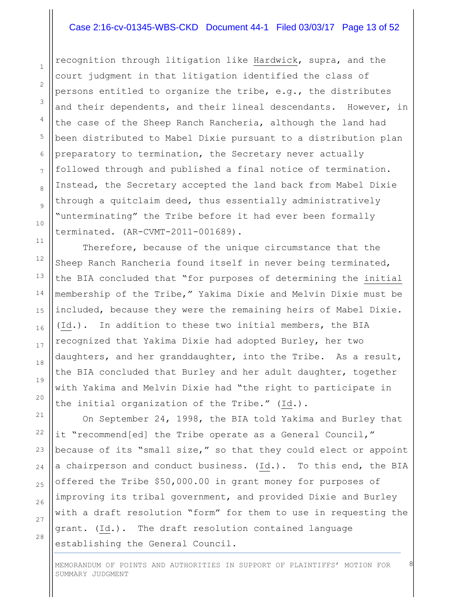## Case 2:16-cv-01345-WBS-CKD Document 44-1 Filed 03/03/17 Page 13 of 52

recognition through litigation like Hardwick, supra, and the court judgment in that litigation identified the class of persons entitled to organize the tribe, e.g., the distributes and their dependents, and their lineal descendants. However, in the case of the Sheep Ranch Rancheria, although the land had been distributed to Mabel Dixie pursuant to a distribution plan preparatory to termination, the Secretary never actually followed through and published a final notice of termination. Instead, the Secretary accepted the land back from Mabel Dixie through a quitclaim deed, thus essentially administratively "unterminating" the Tribe before it had ever been formally terminated. (AR-CVMT-2011-001689).

Therefore, because of the unique circumstance that the Sheep Ranch Rancheria found itself in never being terminated, the BIA concluded that "for purposes of determining the initial membership of the Tribe," Yakima Dixie and Melvin Dixie must be included, because they were the remaining heirs of Mabel Dixie. (Id.). In addition to these two initial members, the BIA recognized that Yakima Dixie had adopted Burley, her two daughters, and her granddaughter, into the Tribe. As a result, the BIA concluded that Burley and her adult daughter, together with Yakima and Melvin Dixie had "the right to participate in the initial organization of the Tribe." (Id.).

On September 24, 1998, the BIA told Yakima and Burley that it "recommend[ed] the Tribe operate as a General Council," because of its "small size," so that they could elect or appoint a chairperson and conduct business. (Id.). To this end, the BIA offered the Tribe \$50,000.00 in grant money for purposes of improving its tribal government, and provided Dixie and Burley with a draft resolution "form" for them to use in requesting the grant. (Id.). The draft resolution contained language establishing the General Council.

28

1

2

MEMORANDUM OF POINTS AND AUTHORITIES IN SUPPORT OF PLAINTIFFS' MOTION FOR SUMMARY JUDGMENT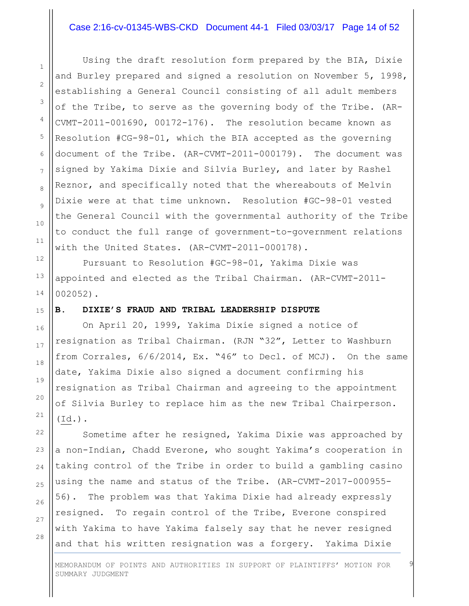#### Case 2:16-cv-01345-WBS-CKD Document 44-1 Filed 03/03/17 Page 14 of 52

Using the draft resolution form prepared by the BIA, Dixie and Burley prepared and signed a resolution on November 5, 1998, establishing a General Council consisting of all adult members of the Tribe, to serve as the governing body of the Tribe. (AR-CVMT-2011-001690, 00172-176). The resolution became known as Resolution #CG-98-01, which the BIA accepted as the governing document of the Tribe. (AR-CVMT-2011-000179). The document was signed by Yakima Dixie and Silvia Burley, and later by Rashel Reznor, and specifically noted that the whereabouts of Melvin Dixie were at that time unknown. Resolution #GC-98-01 vested the General Council with the governmental authority of the Tribe to conduct the full range of government-to-government relations with the United States. (AR-CVMT-2011-000178).

Pursuant to Resolution #GC-98-01, Yakima Dixie was appointed and elected as the Tribal Chairman. (AR-CVMT-2011- 002052).

#### **B. DIXIE'S FRAUD AND TRIBAL LEADERSHIP DISPUTE**

On April 20, 1999, Yakima Dixie signed a notice of resignation as Tribal Chairman. (RJN "32", Letter to Washburn from Corrales, 6/6/2014, Ex. "46" to Decl. of MCJ). On the same date, Yakima Dixie also signed a document confirming his resignation as Tribal Chairman and agreeing to the appointment of Silvia Burley to replace him as the new Tribal Chairperson.  $(\text{Id.})$ .

Sometime after he resigned, Yakima Dixie was approached by a non-Indian, Chadd Everone, who sought Yakima's cooperation in taking control of the Tribe in order to build a gambling casino using the name and status of the Tribe. (AR-CVMT-2017-000955- 56). The problem was that Yakima Dixie had already expressly resigned. To regain control of the Tribe, Everone conspired with Yakima to have Yakima falsely say that he never resigned and that his written resignation was a forgery. Yakima Dixie

28

1

2

MEMORANDUM OF POINTS AND AUTHORITIES IN SUPPORT OF PLAINTIFFS' MOTION FOR SUMMARY JUDGMENT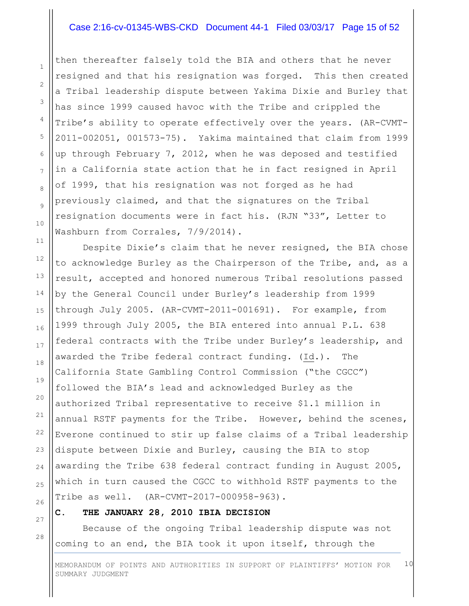## Case 2:16-cv-01345-WBS-CKD Document 44-1 Filed 03/03/17 Page 15 of 52

then thereafter falsely told the BIA and others that he never resigned and that his resignation was forged. This then created a Tribal leadership dispute between Yakima Dixie and Burley that has since 1999 caused havoc with the Tribe and crippled the Tribe's ability to operate effectively over the years. (AR-CVMT-2011-002051, 001573-75). Yakima maintained that claim from 1999 up through February 7, 2012, when he was deposed and testified in a California state action that he in fact resigned in April of 1999, that his resignation was not forged as he had previously claimed, and that the signatures on the Tribal resignation documents were in fact his. (RJN "33", Letter to Washburn from Corrales, 7/9/2014).

Despite Dixie's claim that he never resigned, the BIA chose to acknowledge Burley as the Chairperson of the Tribe, and, as a result, accepted and honored numerous Tribal resolutions passed by the General Council under Burley's leadership from 1999 through July 2005. (AR-CVMT-2011-001691). For example, from 1999 through July 2005, the BIA entered into annual P.L. 638 federal contracts with the Tribe under Burley's leadership, and awarded the Tribe federal contract funding. (Id.). The California State Gambling Control Commission ("the CGCC") followed the BIA's lead and acknowledged Burley as the authorized Tribal representative to receive \$1.1 million in annual RSTF payments for the Tribe. However, behind the scenes, Everone continued to stir up false claims of a Tribal leadership dispute between Dixie and Burley, causing the BIA to stop awarding the Tribe 638 federal contract funding in August 2005, which in turn caused the CGCC to withhold RSTF payments to the Tribe as well. (AR-CVMT-2017-000958-963).

## **C. THE JANUARY 28, 2010 IBIA DECISION**

Because of the ongoing Tribal leadership dispute was not coming to an end, the BIA took it upon itself, through the

MEMORANDUM OF POINTS AND AUTHORITIES IN SUPPORT OF PLAINTIFFS' MOTION FOR SUMMARY JUDGMENT 10

27 28

1

2

3

4

5

6

7

8

9

10

11

12

13

14

15

16

17

18

19

20

21

22

23

24

25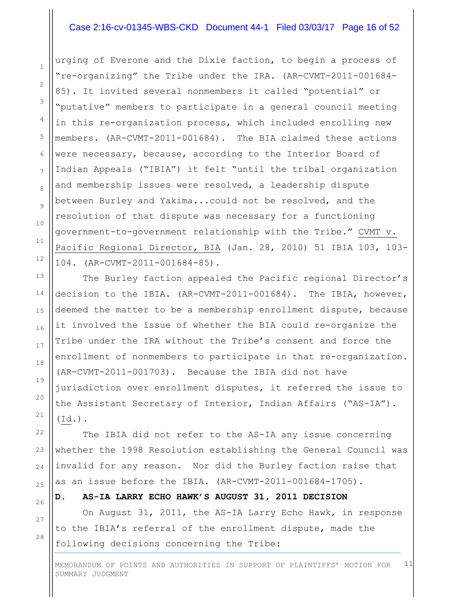## Case 2:16-cv-01345-WBS-CKD Document 44-1 Filed 03/03/17 Page 16 of 52

urging of Everone and the Dixie faction, to begin a process of "re-organizing" the Tribe under the IRA. (AR-CVMT-2011-001684- 85). It invited several nonmembers it called "potential" or "putative" members to participate in a general council meeting in this re-organization process, which included enrolling new members. (AR-CVMT-2011-001684). The BIA claimed these actions were necessary, because, according to the Interior Board of Indian Appeals ("IBIA") it felt "until the tribal organization and membership issues were resolved, a leadership dispute between Burley and Yakima...could not be resolved, and the resolution of that dispute was necessary for a functioning government-to-government relationship with the Tribe." CVMT v. Pacific Regional Director, BIA (Jan. 28, 2010) 51 IBIA 103, 103- 104. (AR-CVMT-2011-001684-85).

The Burley faction appealed the Pacific regional Director's decision to the IBIA. (AR-CVMT-2011-001684). The IBIA, however, deemed the matter to be a membership enrollment dispute, because it involved the issue of whether the BIA could re-organize the Tribe under the IRA without the Tribe's consent and force the enrollment of nonmembers to participate in that re-organization. (AR-CVMT-2011-001703). Because the IBIA did not have jurisdiction over enrollment disputes, it referred the issue to the Assistant Secretary of Interior, Indian Affairs ("AS-IA"). (Id.).

The IBIA did not refer to the AS-IA any issue concerning whether the 1998 Resolution establishing the General Council was invalid for any reason. Nor did the Burley faction raise that as an issue before the IBIA. (AR-CVMT-2011-001684-1705).

**D. AS-IA LARRY ECHO HAWK'S AUGUST 31, 2011 DECISION**

On August 31, 2011, the AS-IA Larry Echo Hawk, in response to the IBIA's referral of the enrollment dispute, made the following decisions concerning the Tribe:

28

1

2

3

4

5

6

7

8

9

10

11

12

13

14

15

16

17

18

19

20

21

22

23

24

25

26

27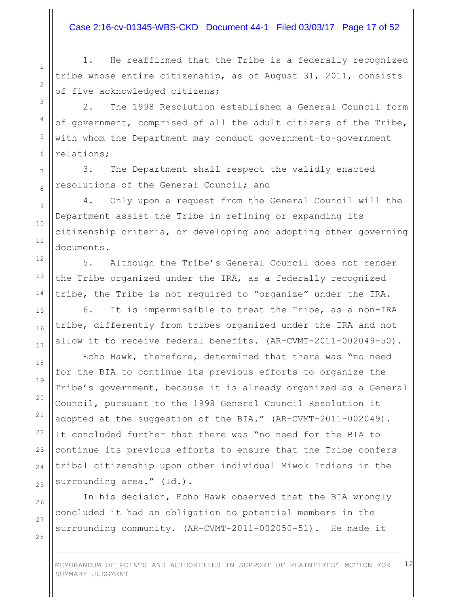# Case 2:16-cv-01345-WBS-CKD Document 44-1 Filed 03/03/17 Page 17 of 52

1. He reaffirmed that the Tribe is a federally recognized tribe whose entire citizenship, as of August 31, 2011, consists of five acknowledged citizens;

2. The 1998 Resolution established a General Council form of government, comprised of all the adult citizens of the Tribe, with whom the Department may conduct government-to-government relations;

3. The Department shall respect the validly enacted resolutions of the General Council; and

4. Only upon a request from the General Council will the Department assist the Tribe in refining or expanding its citizenship criteria, or developing and adopting other governing documents.

5. Although the Tribe's General Council does not render the Tribe organized under the IRA, as a federally recognized tribe, the Tribe is not required to "organize" under the IRA.

6. It is impermissible to treat the Tribe, as a non-IRA tribe, differently from tribes organized under the IRA and not allow it to receive federal benefits. (AR-CVMT-2011-002049-50).

Echo Hawk, therefore, determined that there was "no need for the BIA to continue its previous efforts to organize the Tribe's government, because it is already organized as a General Council, pursuant to the 1998 General Council Resolution it adopted at the suggestion of the BIA." (AR-CVMT-2011-002049). It concluded further that there was "no need for the BIA to continue its previous efforts to ensure that the Tribe confers tribal citizenship upon other individual Miwok Indians in the surrounding area." (Id.).

In his decision, Echo Hawk observed that the BIA wrongly concluded it had an obligation to potential members in the surrounding community. (AR-CVMT-2011-002050-51). He made it

28

1

2

3

4

5

6

7

8

9

10

11

12

13

14

15

16

17

18

19

20

21

22

23

24

25

26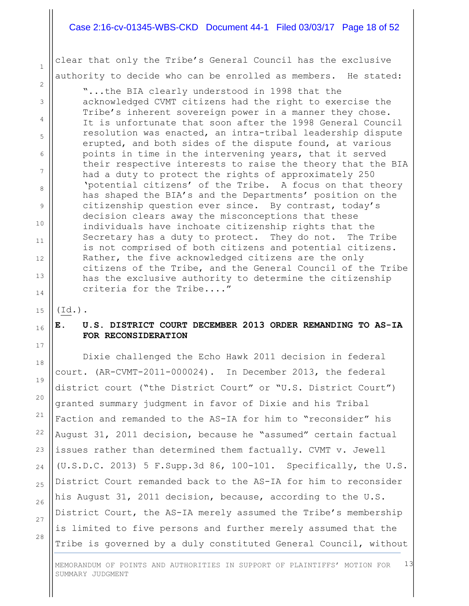## Case 2:16-cv-01345-WBS-CKD Document 44-1 Filed 03/03/17 Page 18 of 52

clear that only the Tribe's General Council has the exclusive authority to decide who can be enrolled as members. He stated:

"...the BIA clearly understood in 1998 that the acknowledged CVMT citizens had the right to exercise the Tribe's inherent sovereign power in a manner they chose. It is unfortunate that soon after the 1998 General Council resolution was enacted, an intra-tribal leadership dispute erupted, and both sides of the dispute found, at various points in time in the intervening years, that it served their respective interests to raise the theory that the BIA had a duty to protect the rights of approximately 250 'potential citizens' of the Tribe. A focus on that theory has shaped the BIA's and the Departments' position on the citizenship question ever since. By contrast, today's decision clears away the misconceptions that these individuals have inchoate citizenship rights that the Secretary has a duty to protect. They do not. The Tribe is not comprised of both citizens and potential citizens. Rather, the five acknowledged citizens are the only citizens of the Tribe, and the General Council of the Tribe has the exclusive authority to determine the citizenship criteria for the Tribe...."

(Id.).

1

2

3

4

5

6

7

8

9

10

11

12

13

14

15

16

17

18

19

20

21

22

23

24

25

26

# **E. U.S. DISTRICT COURT DECEMBER 2013 ORDER REMANDING TO AS-IA FOR RECONSIDERATION**

Dixie challenged the Echo Hawk 2011 decision in federal court. (AR-CVMT-2011-000024). In December 2013, the federal district court ("the District Court" or "U.S. District Court") granted summary judgment in favor of Dixie and his Tribal Faction and remanded to the AS-IA for him to "reconsider" his August 31, 2011 decision, because he "assumed" certain factual issues rather than determined them factually. CVMT v. Jewell (U.S.D.C. 2013) 5 F.Supp.3d 86, 100-101. Specifically, the U.S. District Court remanded back to the AS-IA for him to reconsider his August 31, 2011 decision, because, according to the U.S. District Court, the AS-IA merely assumed the Tribe's membership is limited to five persons and further merely assumed that the Tribe is governed by a duly constituted General Council, without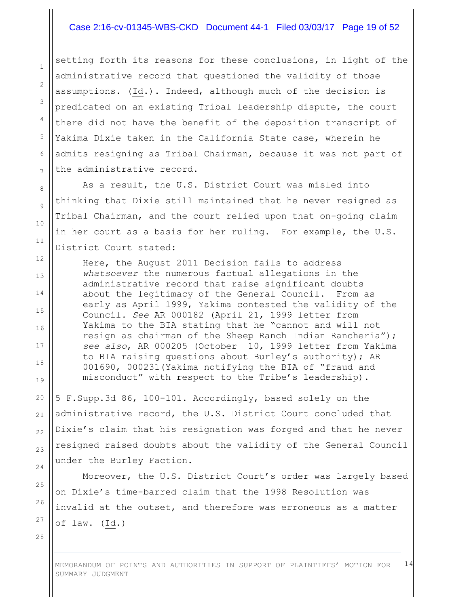#### Case 2:16-cv-01345-WBS-CKD Document 44-1 Filed 03/03/17 Page 19 of 52

setting forth its reasons for these conclusions, in light of the administrative record that questioned the validity of those assumptions. (Id.). Indeed, although much of the decision is predicated on an existing Tribal leadership dispute, the court there did not have the benefit of the deposition transcript of Yakima Dixie taken in the California State case, wherein he admits resigning as Tribal Chairman, because it was not part of the administrative record.

As a result, the U.S. District Court was misled into thinking that Dixie still maintained that he never resigned as Tribal Chairman, and the court relied upon that on-going claim in her court as a basis for her ruling. For example, the U.S. District Court stated:

Here, the August 2011 Decision fails to address *whatsoever* the numerous factual allegations in the administrative record that raise significant doubts about the legitimacy of the General Council. From as early as April 1999, Yakima contested the validity of the Council. *See* AR 000182 (April 21, 1999 letter from Yakima to the BIA stating that he "cannot and will not resign as chairman of the Sheep Ranch Indian Rancheria"); *see also*, AR 000205 (October 10, 1999 letter from Yakima to BIA raising questions about Burley's authority); AR 001690, 000231(Yakima notifying the BIA of "fraud and misconduct" with respect to the Tribe's leadership).

5 F.Supp.3d 86, 100-101. Accordingly, based solely on the administrative record, the U.S. District Court concluded that Dixie's claim that his resignation was forged and that he never resigned raised doubts about the validity of the General Council under the Burley Faction.

Moreover, the U.S. District Court's order was largely based on Dixie's time-barred claim that the 1998 Resolution was invalid at the outset, and therefore was erroneous as a matter of law. (Id.)

28

1

2

3

4

5

6

7

8

9

10

11

12

13

14

15

16

17

18

19

20

21

22

23

24

25

26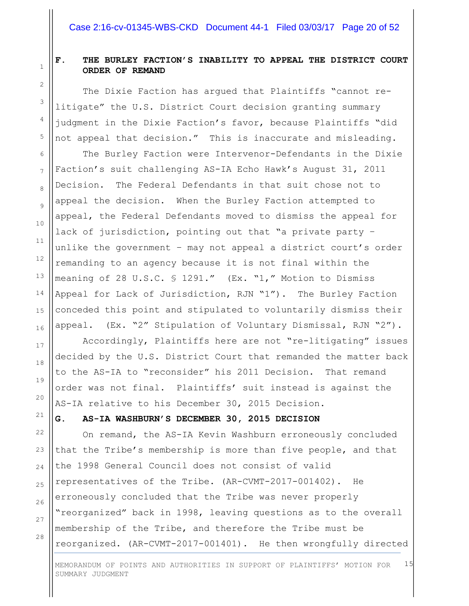# **F. THE BURLEY FACTION'S INABILITY TO APPEAL THE DISTRICT COURT ORDER OF REMAND**

The Dixie Faction has argued that Plaintiffs "cannot relitigate" the U.S. District Court decision granting summary judgment in the Dixie Faction's favor, because Plaintiffs "did not appeal that decision." This is inaccurate and misleading.

The Burley Faction were Intervenor-Defendants in the Dixie Faction's suit challenging AS-IA Echo Hawk's August 31, 2011 Decision. The Federal Defendants in that suit chose not to appeal the decision. When the Burley Faction attempted to appeal, the Federal Defendants moved to dismiss the appeal for lack of jurisdiction, pointing out that "a private party – unlike the government – may not appeal a district court's order remanding to an agency because it is not final within the meaning of 28 U.S.C. § 1291." (Ex. "1," Motion to Dismiss Appeal for Lack of Jurisdiction, RJN "1"). The Burley Faction conceded this point and stipulated to voluntarily dismiss their appeal. (Ex. "2" Stipulation of Voluntary Dismissal, RJN "2").

Accordingly, Plaintiffs here are not "re-litigating" issues decided by the U.S. District Court that remanded the matter back to the AS-IA to "reconsider" his 2011 Decision. That remand order was not final. Plaintiffs' suit instead is against the AS-IA relative to his December 30, 2015 Decision.

## **G. AS-IA WASHBURN'S DECEMBER 30, 2015 DECISION**

28 On remand, the AS-IA Kevin Washburn erroneously concluded that the Tribe's membership is more than five people, and that the 1998 General Council does not consist of valid representatives of the Tribe. (AR-CVMT-2017-001402). He erroneously concluded that the Tribe was never properly "reorganized" back in 1998, leaving questions as to the overall membership of the Tribe, and therefore the Tribe must be reorganized. (AR-CVMT-2017-001401). He then wrongfully directed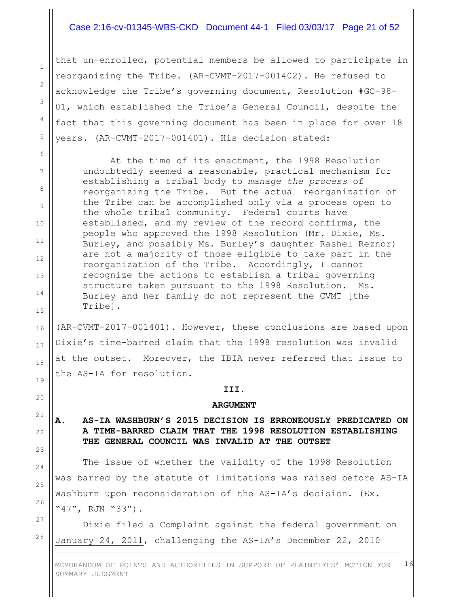## Case 2:16-cv-01345-WBS-CKD Document 44-1 Filed 03/03/17 Page 21 of 52

that un-enrolled, potential members be allowed to participate in reorganizing the Tribe. (AR-CVMT-2017-001402). He refused to acknowledge the Tribe's governing document, Resolution #GC-98- 01, which established the Tribe's General Council, despite the fact that this governing document has been in place for over 18 years. (AR-CVMT-2017-001401). His decision stated:

At the time of its enactment, the 1998 Resolution undoubtedly seemed a reasonable, practical mechanism for establishing a tribal body to *manage the process* of reorganizing the Tribe. But the actual reorganization of the Tribe can be accomplished only via a process open to the whole tribal community. Federal courts have established, and my review of the record confirms, the people who approved the 1998 Resolution (Mr. Dixie, Ms. Burley, and possibly Ms. Burley's daughter Rashel Reznor) are not a majority of those eligible to take part in the reorganization of the Tribe. Accordingly, I cannot recognize the actions to establish a tribal governing structure taken pursuant to the 1998 Resolution. Ms. Burley and her family do not represent the CVMT [the Tribe].

(AR-CVMT-2017-001401). However, these conclusions are based upon Dixie's time-barred claim that the 1998 resolution was invalid at the outset. Moreover, the IBIA never referred that issue to the AS-IA for resolution.

#### **III.**

#### **ARGUMENT**

# **A. AS-IA WASHBURN'S 2015 DECISION IS ERRONEOUSLY PREDICATED ON A TIME-BARRED CLAIM THAT THE 1998 RESOLUTION ESTABLISHING THE GENERAL COUNCIL WAS INVALID AT THE OUTSET**

The issue of whether the validity of the 1998 Resolution was barred by the statute of limitations was raised before AS-IA Washburn upon reconsideration of the AS-IA's decision. (Ex. "47", RJN "33").

Dixie filed a Complaint against the federal government on January 24, 2011, challenging the AS-IA's December 22, 2010

MEMORANDUM OF POINTS AND AUTHORITIES IN SUPPORT OF PLAINTIFFS' MOTION FOR SUMMARY JUDGMENT 16

20

21

22

23

24

25

26

27

28

1

2

3

4

5

6

7

8

9

10

11

12

13

14

15

16

17

18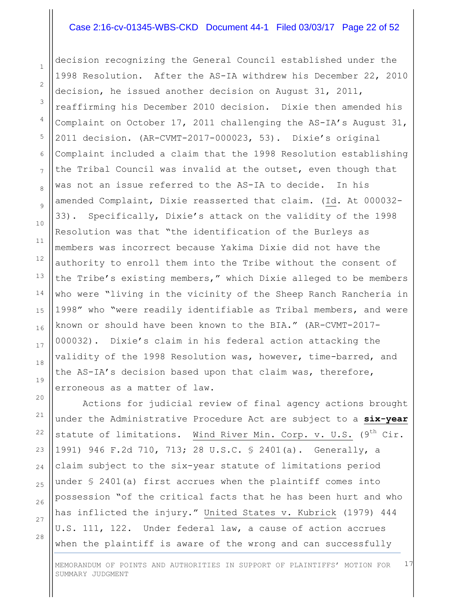## Case 2:16-cv-01345-WBS-CKD Document 44-1 Filed 03/03/17 Page 22 of 52

decision recognizing the General Council established under the 1998 Resolution. After the AS-IA withdrew his December 22, 2010 decision, he issued another decision on August 31, 2011, reaffirming his December 2010 decision. Dixie then amended his Complaint on October 17, 2011 challenging the AS-IA's August 31, 2011 decision. (AR-CVMT-2017-000023, 53). Dixie's original Complaint included a claim that the 1998 Resolution establishing the Tribal Council was invalid at the outset, even though that was not an issue referred to the AS-IA to decide. In his amended Complaint, Dixie reasserted that claim. (Id. At 000032- 33). Specifically, Dixie's attack on the validity of the 1998 Resolution was that "the identification of the Burleys as members was incorrect because Yakima Dixie did not have the authority to enroll them into the Tribe without the consent of the Tribe's existing members," which Dixie alleged to be members who were "living in the vicinity of the Sheep Ranch Rancheria in 1998" who "were readily identifiable as Tribal members, and were known or should have been known to the BIA." (AR-CVMT-2017- 000032). Dixie's claim in his federal action attacking the validity of the 1998 Resolution was, however, time-barred, and the AS-IA's decision based upon that claim was, therefore, erroneous as a matter of law.

Actions for judicial review of final agency actions brought under the Administrative Procedure Act are subject to a **six-year** statute of limitations. Wind River Min. Corp. v. U.S.  $(9^{th}$  Cir. 1991) 946 F.2d 710, 713; 28 U.S.C. § 2401(a). Generally, a claim subject to the six-year statute of limitations period under § 2401(a) first accrues when the plaintiff comes into possession "of the critical facts that he has been hurt and who has inflicted the injury." United States v. Kubrick (1979) 444 U.S. 111, 122. Under federal law, a cause of action accrues when the plaintiff is aware of the wrong and can successfully

27 28

1

2

3

4

5

6

7

8

9

10

11

12

13

14

15

16

17

18

19

20

21

22

23

24

25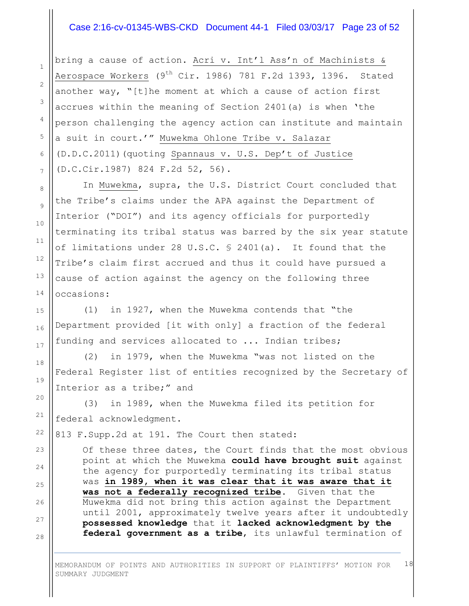#### Case 2:16-cv-01345-WBS-CKD Document 44-1 Filed 03/03/17 Page 23 of 52

bring a cause of action. Acri v. Int'l Ass'n of Machinists & Aerospace Workers  $(9<sup>th</sup> Cir. 1986)$  781 F.2d 1393, 1396. Stated another way, "[t]he moment at which a cause of action first accrues within the meaning of Section 2401(a) is when 'the person challenging the agency action can institute and maintain a suit in court.'" Muwekma Ohlone Tribe v. Salazar (D.D.C.2011)(quoting Spannaus v. U.S. Dep't of Justice (D.C.Cir.1987) 824 F.2d 52, 56).

In Muwekma, supra, the U.S. District Court concluded that the Tribe's claims under the APA against the Department of Interior ("DOI") and its agency officials for purportedly terminating its tribal status was barred by the six year statute of limitations under 28 U.S.C. § 2401(a). It found that the Tribe's claim first accrued and thus it could have pursued a cause of action against the agency on the following three occasions:

(1) in 1927, when the Muwekma contends that "the Department provided [it with only] a fraction of the federal funding and services allocated to ... Indian tribes;

(2) in 1979, when the Muwekma "was not listed on the Federal Register list of entities recognized by the Secretary of Interior as a tribe;" and

(3) in 1989, when the Muwekma filed its petition for federal acknowledgment.

813 F.Supp.2d at 191. The Court then stated:

Of these three dates, the Court finds that the most obvious point at which the Muwekma **could have brought suit** against the agency for purportedly terminating its tribal status was **in 1989, when it was clear that it was aware that it was not a federally recognized tribe**. Given that the Muwekma did not bring this action against the Department until 2001, approximately twelve years after it undoubtedly **possessed knowledge** that it **lacked acknowledgment by the federal government as a tribe**, its unlawful termination of

MEMORANDUM OF POINTS AND AUTHORITIES IN SUPPORT OF PLAINTIFFS' MOTION FOR SUMMARY JUDGMENT 18

28

1

2

3

4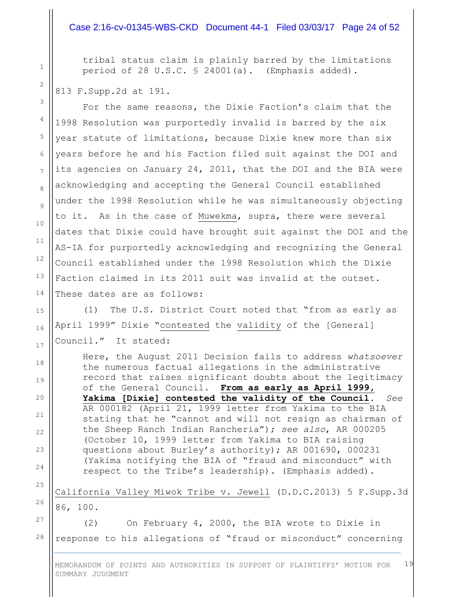## Case 2:16-cv-01345-WBS-CKD Document 44-1 Filed 03/03/17 Page 24 of 52

tribal status claim is plainly barred by the limitations period of 28 U.S.C. § 24001(a). (Emphasis added).

#### 813 F.Supp.2d at 191.

1

2

3

4

5

6

7

8

9

10

11

12

13

14

15

16

17

18

19

20

21

 $22$ 

23

24

25

26

For the same reasons, the Dixie Faction's claim that the 1998 Resolution was purportedly invalid is barred by the six year statute of limitations, because Dixie knew more than six years before he and his Faction filed suit against the DOI and its agencies on January 24, 2011, that the DOI and the BIA were acknowledging and accepting the General Council established under the 1998 Resolution while he was simultaneously objecting to it. As in the case of Muwekma, supra, there were several dates that Dixie could have brought suit against the DOI and the AS-IA for purportedly acknowledging and recognizing the General Council established under the 1998 Resolution which the Dixie Faction claimed in its 2011 suit was invalid at the outset. These dates are as follows:

(1) The U.S. District Court noted that "from as early as April 1999" Dixie "contested the validity of the [General] Council." It stated:

Here, the August 2011 Decision fails to address *whatsoever* the numerous factual allegations in the administrative record that raises significant doubts about the legitimacy of the General Council. **From as early as April 1999, Yakima [Dixie] contested the validity of the Council**. *See* AR 000182 (April 21, 1999 letter from Yakima to the BIA stating that he "cannot and will not resign as chairman of the Sheep Ranch Indian Rancheria"); *see also*, AR 000205 (October 10, 1999 letter from Yakima to BIA raising questions about Burley's authority); AR 001690, 000231 (Yakima notifying the BIA of "fraud and misconduct" with respect to the Tribe's leadership). (Emphasis added).

California Valley Miwok Tribe v. Jewell (D.D.C.2013) 5 F.Supp.3d 86, 100.

27 28 (2) On February 4, 2000, the BIA wrote to Dixie in response to his allegations of "fraud or misconduct" concerning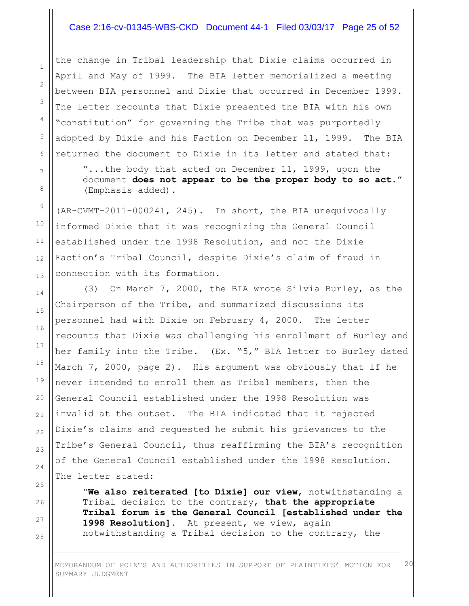## Case 2:16-cv-01345-WBS-CKD Document 44-1 Filed 03/03/17 Page 25 of 52

the change in Tribal leadership that Dixie claims occurred in April and May of 1999. The BIA letter memorialized a meeting between BIA personnel and Dixie that occurred in December 1999. The letter recounts that Dixie presented the BIA with his own "constitution" for governing the Tribe that was purportedly adopted by Dixie and his Faction on December 11, 1999. The BIA returned the document to Dixie in its letter and stated that:

"...the body that acted on December 11, 1999, upon the document **does not appear to be the proper body to so act**." (Emphasis added).

(AR-CVMT-2011-000241, 245). In short, the BIA unequivocally informed Dixie that it was recognizing the General Council established under the 1998 Resolution, and not the Dixie Faction's Tribal Council, despite Dixie's claim of fraud in connection with its formation.

(3) On March 7, 2000, the BIA wrote Silvia Burley, as the Chairperson of the Tribe, and summarized discussions its personnel had with Dixie on February 4, 2000. The letter recounts that Dixie was challenging his enrollment of Burley and her family into the Tribe. (Ex. "5," BIA letter to Burley dated March 7, 2000, page 2). His argument was obviously that if he never intended to enroll them as Tribal members, then the General Council established under the 1998 Resolution was invalid at the outset. The BIA indicated that it rejected Dixie's claims and requested he submit his grievances to the Tribe's General Council, thus reaffirming the BIA's recognition of the General Council established under the 1998 Resolution. The letter stated:

"**We also reiterated [to Dixie] our view**, notwithstanding a Tribal decision to the contrary, **that the appropriate Tribal forum is the General Council [established under the 1998 Resolution]**. At present, we view, again notwithstanding a Tribal decision to the contrary, the

MEMORANDUM OF POINTS AND AUTHORITIES IN SUPPORT OF PLAINTIFFS' MOTION FOR SUMMARY JUDGMENT 20

28

1

2

3

4

5

6

7

8

9

10

11

12

13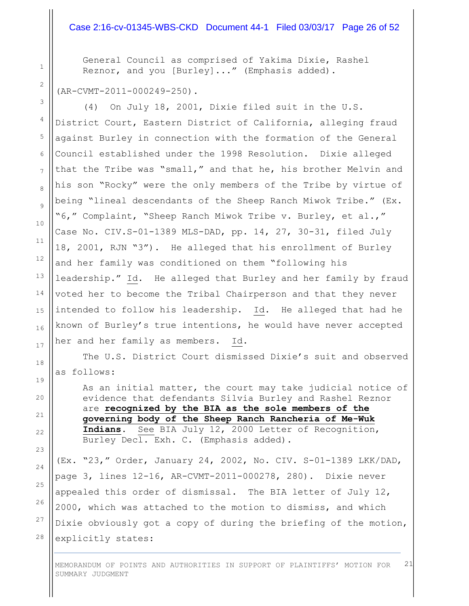#### Case 2:16-cv-01345-WBS-CKD Document 44-1 Filed 03/03/17 Page 26 of 52

General Council as comprised of Yakima Dixie, Rashel Reznor, and you [Burley]..." (Emphasis added).

#### (AR-CVMT-2011-000249-250).

(4) On July 18, 2001, Dixie filed suit in the U.S. District Court, Eastern District of California, alleging fraud against Burley in connection with the formation of the General Council established under the 1998 Resolution. Dixie alleged that the Tribe was "small," and that he, his brother Melvin and his son "Rocky" were the only members of the Tribe by virtue of being "lineal descendants of the Sheep Ranch Miwok Tribe." (Ex. "6," Complaint, "Sheep Ranch Miwok Tribe v. Burley, et al.," Case No. CIV.S-01-1389 MLS-DAD, pp. 14, 27, 30-31, filed July 18, 2001, RJN "3"). He alleged that his enrollment of Burley and her family was conditioned on them "following his leadership." Id. He alleged that Burley and her family by fraud voted her to become the Tribal Chairperson and that they never intended to follow his leadership. Id. He alleged that had he known of Burley's true intentions, he would have never accepted her and her family as members. Id.

The U.S. District Court dismissed Dixie's suit and observed as follows:

As an initial matter, the court may take judicial notice of evidence that defendants Silvia Burley and Rashel Reznor are **recognized by the BIA as the sole members of the governing body of the Sheep Ranch Rancheria of Me-Wuk Indians**. See BIA July 12, 2000 Letter of Recognition, Burley Decl. Exh. C. (Emphasis added).

(Ex. "23," Order, January 24, 2002, No. CIV. S-01-1389 LKK/DAD, page 3, lines 12-16, AR-CVMT-2011-000278, 280). Dixie never appealed this order of dismissal. The BIA letter of July 12, 2000, which was attached to the motion to dismiss, and which Dixie obviously got a copy of during the briefing of the motion, explicitly states:

MEMORANDUM OF POINTS AND AUTHORITIES IN SUPPORT OF PLAINTIFFS' MOTION FOR SUMMARY JUDGMENT 21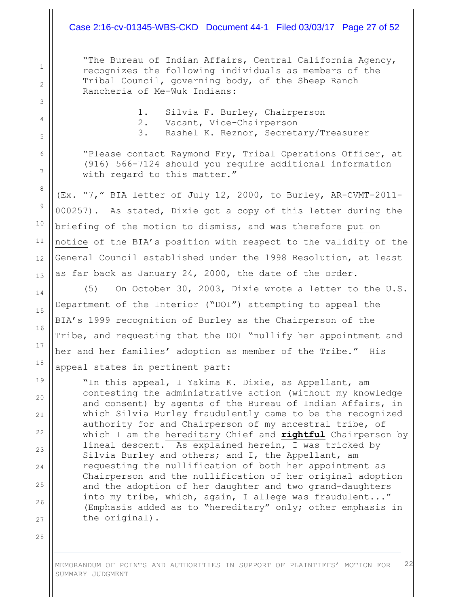## Case 2:16-cv-01345-WBS-CKD Document 44-1 Filed 03/03/17 Page 27 of 52

"The Bureau of Indian Affairs, Central California Agency, recognizes the following individuals as members of the Tribal Council, governing body, of the Sheep Ranch Rancheria of Me-Wuk Indians:

- 1. Silvia F. Burley, Chairperson
- 2. Vacant, Vice-Chairperson
- 3. Rashel K. Reznor, Secretary/Treasurer

"Please contact Raymond Fry, Tribal Operations Officer, at (916) 566-7124 should you require additional information with regard to this matter."

(Ex. "7," BIA letter of July 12, 2000, to Burley, AR-CVMT-2011- 000257). As stated, Dixie got a copy of this letter during the briefing of the motion to dismiss, and was therefore put on notice of the BIA's position with respect to the validity of the General Council established under the 1998 Resolution, at least as far back as January 24, 2000, the date of the order.

(5) On October 30, 2003, Dixie wrote a letter to the U.S. Department of the Interior ("DOI") attempting to appeal the BIA's 1999 recognition of Burley as the Chairperson of the Tribe, and requesting that the DOI "nullify her appointment and her and her families' adoption as member of the Tribe." His appeal states in pertinent part:

"In this appeal, I Yakima K. Dixie, as Appellant, am contesting the administrative action (without my knowledge and consent) by agents of the Bureau of Indian Affairs, in which Silvia Burley fraudulently came to be the recognized authority for and Chairperson of my ancestral tribe, of which I am the hereditary Chief and **rightful** Chairperson by lineal descent. As explained herein, I was tricked by Silvia Burley and others; and I, the Appellant, am requesting the nullification of both her appointment as Chairperson and the nullification of her original adoption and the adoption of her daughter and two grand-daughters into my tribe, which, again, I allege was fraudulent..." (Emphasis added as to "hereditary" only; other emphasis in the original).

MEMORANDUM OF POINTS AND AUTHORITIES IN SUPPORT OF PLAINTIFFS' MOTION FOR SUMMARY JUDGMENT 22

28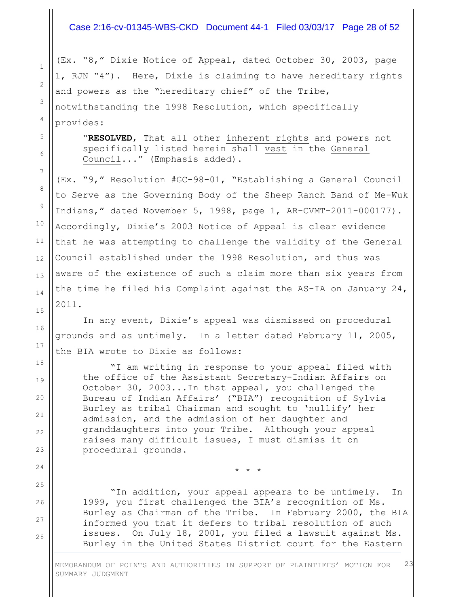## Case 2:16-cv-01345-WBS-CKD Document 44-1 Filed 03/03/17 Page 28 of 52

(Ex. "8," Dixie Notice of Appeal, dated October 30, 2003, page 1, RJN "4"). Here, Dixie is claiming to have hereditary rights and powers as the "hereditary chief" of the Tribe, notwithstanding the 1998 Resolution, which specifically provides:

1

2

3

4

5

6

7

8

9

10

11

12

13

14

15

16

17

18

19

20

21

22

23

24

25

26

27

28

"**RESOLVED**, That all other inherent rights and powers not specifically listed herein shall vest in the General Council..." (Emphasis added).

(Ex. "9," Resolution #GC-98-01, "Establishing a General Council to Serve as the Governing Body of the Sheep Ranch Band of Me-Wuk Indians," dated November 5, 1998, page 1, AR-CVMT-2011-000177). Accordingly, Dixie's 2003 Notice of Appeal is clear evidence that he was attempting to challenge the validity of the General Council established under the 1998 Resolution, and thus was aware of the existence of such a claim more than six years from the time he filed his Complaint against the AS-IA on January 24, 2011.

In any event, Dixie's appeal was dismissed on procedural grounds and as untimely. In a letter dated February 11, 2005, the BIA wrote to Dixie as follows:

"I am writing in response to your appeal filed with the office of the Assistant Secretary-Indian Affairs on October 30, 2003...In that appeal, you challenged the Bureau of Indian Affairs' ("BIA") recognition of Sylvia Burley as tribal Chairman and sought to 'nullify' her admission, and the admission of her daughter and granddaughters into your Tribe. Although your appeal raises many difficult issues, I must dismiss it on procedural grounds.

"In addition, your appeal appears to be untimely. In 1999, you first challenged the BIA's recognition of Ms. Burley as Chairman of the Tribe. In February 2000, the BIA informed you that it defers to tribal resolution of such issues. On July 18, 2001, you filed a lawsuit against Ms. Burley in the United States District court for the Eastern

\* \* \*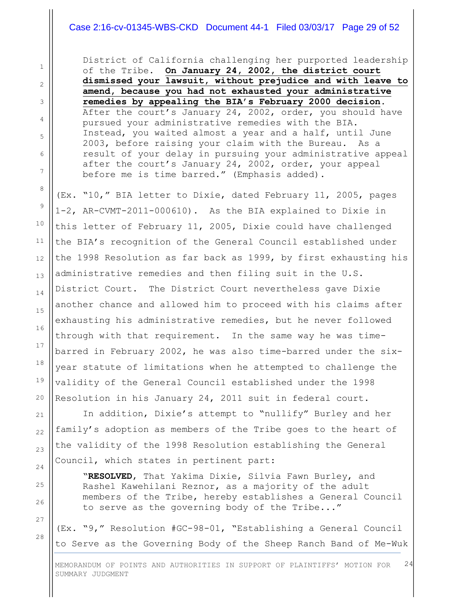# Case 2:16-cv-01345-WBS-CKD Document 44-1 Filed 03/03/17 Page 29 of 52

District of California challenging her purported leadership of the Tribe. **On January 24, 2002, the district court dismissed your lawsuit, without prejudice and with leave to amend, because you had not exhausted your administrative remedies by appealing the BIA's February 2000 decision**. After the court's January 24, 2002, order, you should have pursued your administrative remedies with the BIA. Instead, you waited almost a year and a half, until June 2003, before raising your claim with the Bureau. As a result of your delay in pursuing your administrative appeal after the court's January 24, 2002, order, your appeal before me is time barred." (Emphasis added).

(Ex. "10," BIA letter to Dixie, dated February 11, 2005, pages 1-2, AR-CVMT-2011-000610). As the BIA explained to Dixie in this letter of February 11, 2005, Dixie could have challenged the BIA's recognition of the General Council established under the 1998 Resolution as far back as 1999, by first exhausting his administrative remedies and then filing suit in the U.S. District Court. The District Court nevertheless gave Dixie another chance and allowed him to proceed with his claims after exhausting his administrative remedies, but he never followed through with that requirement. In the same way he was timebarred in February 2002, he was also time-barred under the sixyear statute of limitations when he attempted to challenge the validity of the General Council established under the 1998 Resolution in his January 24, 2011 suit in federal court.

In addition, Dixie's attempt to "nullify" Burley and her family's adoption as members of the Tribe goes to the heart of the validity of the 1998 Resolution establishing the General Council, which states in pertinent part:

"**RESOLVED**, That Yakima Dixie, Silvia Fawn Burley, and Rashel Kawehilani Reznor, as a majority of the adult members of the Tribe, hereby establishes a General Council to serve as the governing body of the Tribe..."

(Ex. "9," Resolution #GC-98-01, "Establishing a General Council to Serve as the Governing Body of the Sheep Ranch Band of Me-Wuk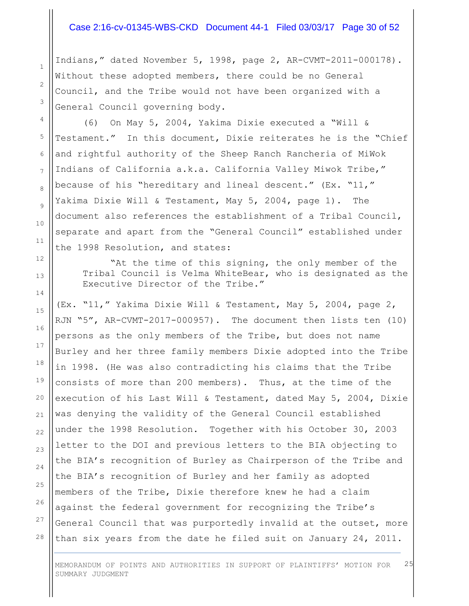## Case 2:16-cv-01345-WBS-CKD Document 44-1 Filed 03/03/17 Page 30 of 52

Indians," dated November 5, 1998, page 2, AR-CVMT-2011-000178). Without these adopted members, there could be no General Council, and the Tribe would not have been organized with a General Council governing body.

(6) On May 5, 2004, Yakima Dixie executed a "Will & Testament." In this document, Dixie reiterates he is the "Chief and rightful authority of the Sheep Ranch Rancheria of MiWok Indians of California a.k.a. California Valley Miwok Tribe," because of his "hereditary and lineal descent." (Ex. "11," Yakima Dixie Will & Testament, May 5, 2004, page 1). The document also references the establishment of a Tribal Council, separate and apart from the "General Council" established under the 1998 Resolution, and states:

"At the time of this signing, the only member of the Tribal Council is Velma WhiteBear, who is designated as the Executive Director of the Tribe."

(Ex. "11," Yakima Dixie Will & Testament, May 5, 2004, page 2, RJN "5", AR-CVMT-2017-000957). The document then lists ten (10) persons as the only members of the Tribe, but does not name Burley and her three family members Dixie adopted into the Tribe in 1998. (He was also contradicting his claims that the Tribe consists of more than 200 members). Thus, at the time of the execution of his Last Will & Testament, dated May 5, 2004, Dixie was denying the validity of the General Council established under the 1998 Resolution. Together with his October 30, 2003 letter to the DOI and previous letters to the BIA objecting to the BIA's recognition of Burley as Chairperson of the Tribe and the BIA's recognition of Burley and her family as adopted members of the Tribe, Dixie therefore knew he had a claim against the federal government for recognizing the Tribe's General Council that was purportedly invalid at the outset, more than six years from the date he filed suit on January 24, 2011.

MEMORANDUM OF POINTS AND AUTHORITIES IN SUPPORT OF PLAINTIFFS' MOTION FOR SUMMARY JUDGMENT 25

1

2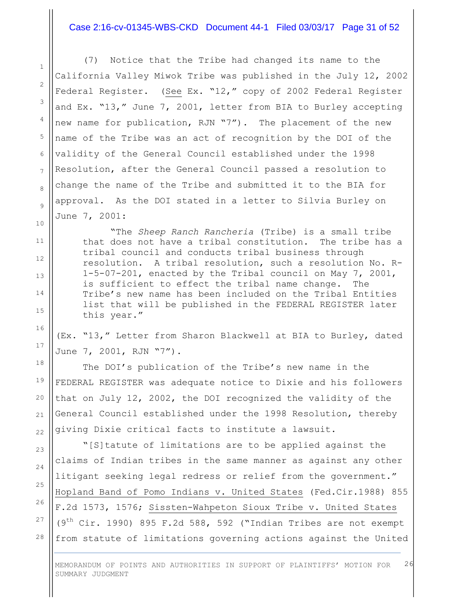#### Case 2:16-cv-01345-WBS-CKD Document 44-1 Filed 03/03/17 Page 31 of 52

(7) Notice that the Tribe had changed its name to the California Valley Miwok Tribe was published in the July 12, 2002 Federal Register. (See Ex. "12," copy of 2002 Federal Register and Ex. "13," June 7, 2001, letter from BIA to Burley accepting new name for publication, RJN "7"). The placement of the new name of the Tribe was an act of recognition by the DOI of the validity of the General Council established under the 1998 Resolution, after the General Council passed a resolution to change the name of the Tribe and submitted it to the BIA for approval. As the DOI stated in a letter to Silvia Burley on June 7, 2001:

"The *Sheep Ranch Rancheria* (Tribe) is a small tribe that does not have a tribal constitution. The tribe has a tribal council and conducts tribal business through resolution. A tribal resolution, such a resolution No. R-1-5-07-201, enacted by the Tribal council on May 7, 2001, is sufficient to effect the tribal name change. The Tribe's new name has been included on the Tribal Entities list that will be published in the FEDERAL REGISTER later this year."

(Ex. "13," Letter from Sharon Blackwell at BIA to Burley, dated June 7, 2001, RJN "7").

The DOI's publication of the Tribe's new name in the FEDERAL REGISTER was adequate notice to Dixie and his followers that on July 12, 2002, the DOI recognized the validity of the General Council established under the 1998 Resolution, thereby giving Dixie critical facts to institute a lawsuit.

"[S]tatute of limitations are to be applied against the claims of Indian tribes in the same manner as against any other litigant seeking legal redress or relief from the government." Hopland Band of Pomo Indians v. United States (Fed.Cir.1988) 855 F.2d 1573, 1576; Sissten-Wahpeton Sioux Tribe v. United States  $(9<sup>th</sup> Cir. 1990)$  895 F.2d 588, 592 ("Indian Tribes are not exempt from statute of limitations governing actions against the United

MEMORANDUM OF POINTS AND AUTHORITIES IN SUPPORT OF PLAINTIFFS' MOTION FOR SUMMARY JUDGMENT 26

1

2

3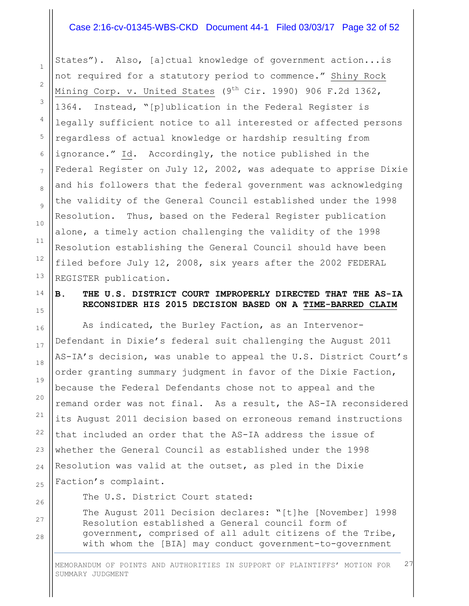## Case 2:16-cv-01345-WBS-CKD Document 44-1 Filed 03/03/17 Page 32 of 52

1

2

3

4

5

6

7

8

9

10

11

12

13

14

15

16

17

18

19

20

21

22

23

24

25

26

27

28

States"). Also, [a]ctual knowledge of government action...is not required for a statutory period to commence." Shiny Rock Mining Corp. v. United States  $(9^{th}$  Cir. 1990) 906 F.2d 1362, 1364. Instead, "[p]ublication in the Federal Register is legally sufficient notice to all interested or affected persons regardless of actual knowledge or hardship resulting from ignorance." Id. Accordingly, the notice published in the Federal Register on July 12, 2002, was adequate to apprise Dixie and his followers that the federal government was acknowledging the validity of the General Council established under the 1998 Resolution. Thus, based on the Federal Register publication alone, a timely action challenging the validity of the 1998 Resolution establishing the General Council should have been filed before July 12, 2008, six years after the 2002 FEDERAL REGISTER publication.

# **B. THE U.S. DISTRICT COURT IMPROPERLY DIRECTED THAT THE AS-IA RECONSIDER HIS 2015 DECISION BASED ON A TIME-BARRED CLAIM**

As indicated, the Burley Faction, as an Intervenor-Defendant in Dixie's federal suit challenging the August 2011 AS-IA's decision, was unable to appeal the U.S. District Court's order granting summary judgment in favor of the Dixie Faction, because the Federal Defendants chose not to appeal and the remand order was not final. As a result, the AS-IA reconsidered its August 2011 decision based on erroneous remand instructions that included an order that the AS-IA address the issue of whether the General Council as established under the 1998 Resolution was valid at the outset, as pled in the Dixie Faction's complaint.

The U.S. District Court stated:

The August 2011 Decision declares: "[t]he [November] 1998 Resolution established a General council form of government, comprised of all adult citizens of the Tribe, with whom the [BIA] may conduct government-to-government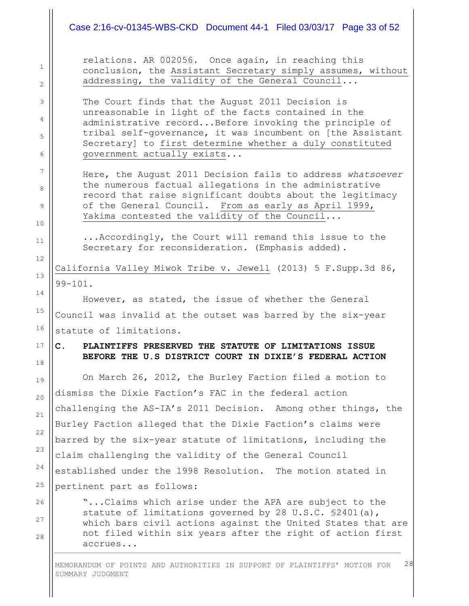# Case 2:16-cv-01345-WBS-CKD Document 44-1 Filed 03/03/17 Page 33 of 52

1

2

3

4

5

6

7

8

9

10

11

12

13

14

15

16

17

18

19

20

21

 $22$ 

23

24

25

26

27

28

relations. AR 002056. Once again, in reaching this conclusion, the Assistant Secretary simply assumes, without addressing, the validity of the General Council...

The Court finds that the August 2011 Decision is unreasonable in light of the facts contained in the administrative record...Before invoking the principle of tribal self-governance, it was incumbent on [the Assistant Secretary] to first determine whether a duly constituted government actually exists...

Here, the August 2011 Decision fails to address *whatsoever* the numerous factual allegations in the administrative record that raise significant doubts about the legitimacy of the General Council. From as early as April 1999, Yakima contested the validity of the Council...

...Accordingly, the Court will remand this issue to the Secretary for reconsideration. (Emphasis added).

California Valley Miwok Tribe v. Jewell (2013) 5 F.Supp.3d 86, 99-101.

However, as stated, the issue of whether the General Council was invalid at the outset was barred by the six-year statute of limitations.

# **C. PLAINTIFFS PRESERVED THE STATUTE OF LIMITATIONS ISSUE BEFORE THE U.S DISTRICT COURT IN DIXIE'S FEDERAL ACTION**

On March 26, 2012, the Burley Faction filed a motion to dismiss the Dixie Faction's FAC in the federal action challenging the AS-IA's 2011 Decision. Among other things, the Burley Faction alleged that the Dixie Faction's claims were barred by the six-year statute of limitations, including the claim challenging the validity of the General Council established under the 1998 Resolution. The motion stated in pertinent part as follows:

"...Claims which arise under the APA are subject to the statute of limitations governed by 28 U.S.C. §2401(a), which bars civil actions against the United States that are not filed within six years after the right of action first accrues...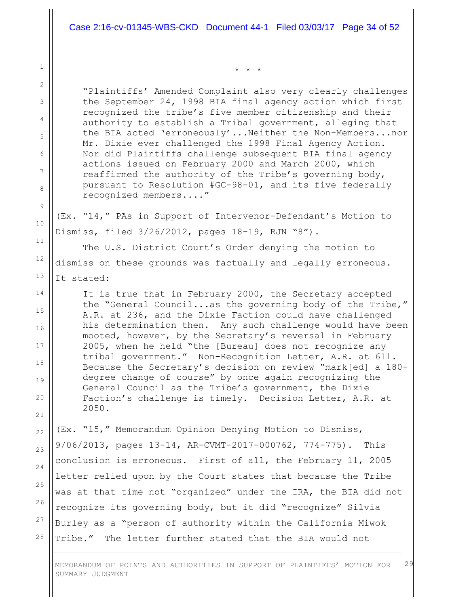"Plaintiffs' Amended Complaint also very clearly challenges the September 24, 1998 BIA final agency action which first recognized the tribe's five member citizenship and their authority to establish a Tribal government, alleging that the BIA acted 'erroneously'...Neither the Non-Members...nor Mr. Dixie ever challenged the 1998 Final Agency Action. Nor did Plaintiffs challenge subsequent BIA final agency actions issued on February 2000 and March 2000, which reaffirmed the authority of the Tribe's governing body, pursuant to Resolution #GC-98-01, and its five federally recognized members...."

\* \* \*

(Ex. "14," PAs in Support of Intervenor-Defendant's Motion to Dismiss, filed 3/26/2012, pages 18-19, RJN "8").

The U.S. District Court's Order denying the motion to dismiss on these grounds was factually and legally erroneous. It stated:

It is true that in February 2000, the Secretary accepted the "General Council...as the governing body of the Tribe," A.R. at 236, and the Dixie Faction could have challenged his determination then. Any such challenge would have been mooted, however, by the Secretary's reversal in February 2005, when he held "the [Bureau] does not recognize any tribal government." Non-Recognition Letter, A.R. at 611. Because the Secretary's decision on review "mark[ed] a 180 degree change of course" by once again recognizing the General Council as the Tribe's government, the Dixie Faction's challenge is timely. Decision Letter, A.R. at 2050.

(Ex. "15," Memorandum Opinion Denying Motion to Dismiss, 9/06/2013, pages 13-14, AR-CVMT-2017-000762, 774-775). This conclusion is erroneous. First of all, the February 11, 2005 letter relied upon by the Court states that because the Tribe was at that time not "organized" under the IRA, the BIA did not recognize its governing body, but it did "recognize" Silvia Burley as a "person of authority within the California Miwok Tribe." The letter further stated that the BIA would not

MEMORANDUM OF POINTS AND AUTHORITIES IN SUPPORT OF PLAINTIFFS' MOTION FOR SUMMARY JUDGMENT 29

26

27

28

1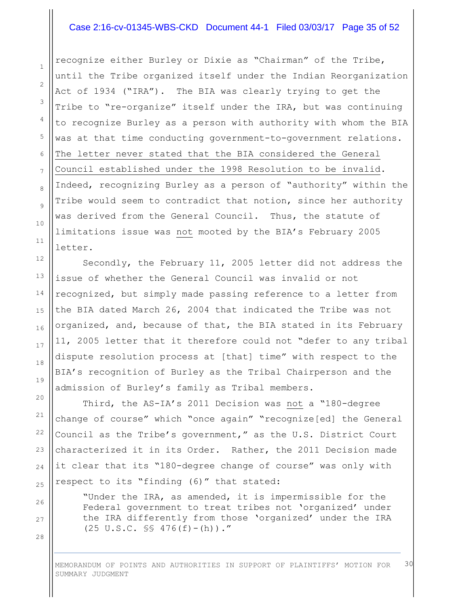## Case 2:16-cv-01345-WBS-CKD Document 44-1 Filed 03/03/17 Page 35 of 52

recognize either Burley or Dixie as "Chairman" of the Tribe, until the Tribe organized itself under the Indian Reorganization Act of 1934 ("IRA"). The BIA was clearly trying to get the Tribe to "re-organize" itself under the IRA, but was continuing to recognize Burley as a person with authority with whom the BIA was at that time conducting government-to-government relations. The letter never stated that the BIA considered the General Council established under the 1998 Resolution to be invalid. Indeed, recognizing Burley as a person of "authority" within the Tribe would seem to contradict that notion, since her authority was derived from the General Council. Thus, the statute of limitations issue was not mooted by the BIA's February 2005 letter.

Secondly, the February 11, 2005 letter did not address the issue of whether the General Council was invalid or not recognized, but simply made passing reference to a letter from the BIA dated March 26, 2004 that indicated the Tribe was not organized, and, because of that, the BIA stated in its February 11, 2005 letter that it therefore could not "defer to any tribal dispute resolution process at [that] time" with respect to the BIA's recognition of Burley as the Tribal Chairperson and the admission of Burley's family as Tribal members.

Third, the AS-IA's 2011 Decision was not a "180-degree change of course" which "once again" "recognize[ed] the General Council as the Tribe's government," as the U.S. District Court characterized it in its Order. Rather, the 2011 Decision made it clear that its "180-degree change of course" was only with respect to its "finding (6)" that stated:

"Under the IRA, as amended, it is impermissible for the Federal government to treat tribes not 'organized' under the IRA differently from those 'organized' under the IRA  $(25 \text{ U.S.C. }$  SS  $476(f) - (h))$ ."

MEMORANDUM OF POINTS AND AUTHORITIES IN SUPPORT OF PLAINTIFFS' MOTION FOR SUMMARY JUDGMENT 30

1

2

3

4

5

6

7

8

9

10

11

12

13

14

15

16

17

18

19

28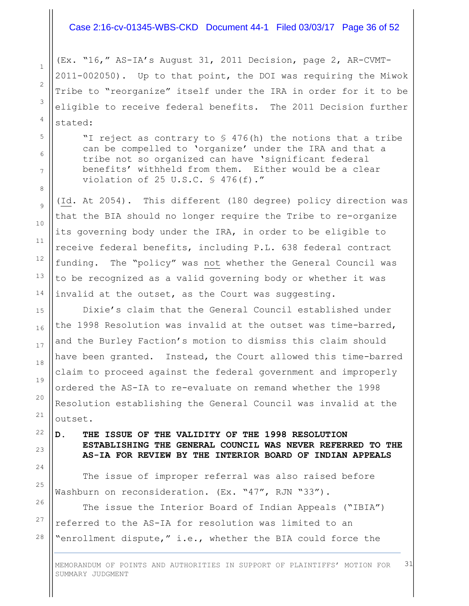## Case 2:16-cv-01345-WBS-CKD Document 44-1 Filed 03/03/17 Page 36 of 52

(Ex. "16," AS-IA's August 31, 2011 Decision, page 2, AR-CVMT-2011-002050). Up to that point, the DOI was requiring the Miwok Tribe to "reorganize" itself under the IRA in order for it to be eligible to receive federal benefits. The 2011 Decision further stated:

"I reject as contrary to § 476(h) the notions that a tribe can be compelled to 'organize' under the IRA and that a tribe not so organized can have 'significant federal benefits' withheld from them. Either would be a clear violation of 25 U.S.C. § 476(f)."

(Id. At 2054). This different (180 degree) policy direction was that the BIA should no longer require the Tribe to re-organize its governing body under the IRA, in order to be eligible to receive federal benefits, including P.L. 638 federal contract funding. The "policy" was not whether the General Council was to be recognized as a valid governing body or whether it was invalid at the outset, as the Court was suggesting.

Dixie's claim that the General Council established under the 1998 Resolution was invalid at the outset was time-barred, and the Burley Faction's motion to dismiss this claim should have been granted. Instead, the Court allowed this time-barred claim to proceed against the federal government and improperly ordered the AS-IA to re-evaluate on remand whether the 1998 Resolution establishing the General Council was invalid at the outset.

**D. THE ISSUE OF THE VALIDITY OF THE 1998 RESOLUTION ESTABLISHING THE GENERAL COUNCIL WAS NEVER REFERRED TO THE AS-IA FOR REVIEW BY THE INTERIOR BOARD OF INDIAN APPEALS**

The issue of improper referral was also raised before Washburn on reconsideration. (Ex. "47", RJN "33").

The issue the Interior Board of Indian Appeals ("IBIA") referred to the AS-IA for resolution was limited to an "enrollment dispute," i.e., whether the BIA could force the

MEMORANDUM OF POINTS AND AUTHORITIES IN SUPPORT OF PLAINTIFFS' MOTION FOR SUMMARY JUDGMENT 31

26

27

28

1

2

3

4

5

6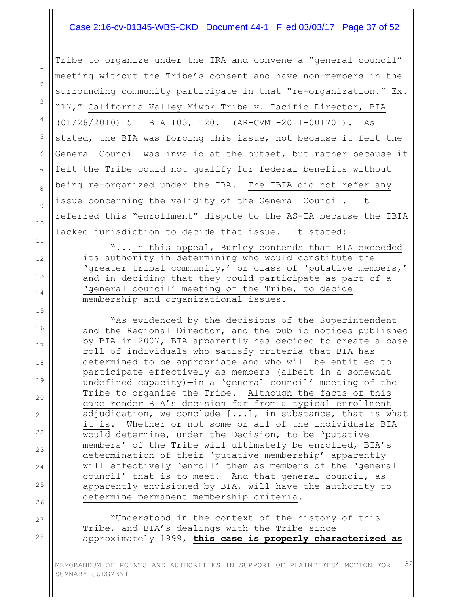## Case 2:16-cv-01345-WBS-CKD Document 44-1 Filed 03/03/17 Page 37 of 52

1

2

3

4

5

6

7

8

9

10

11

12

13

14

15

16

17

18

19

20

21

22

23

24

25

26

27

28

Tribe to organize under the IRA and convene a "general council" meeting without the Tribe's consent and have non-members in the surrounding community participate in that "re-organization." Ex. "17," California Valley Miwok Tribe v. Pacific Director, BIA (01/28/2010) 51 IBIA 103, 120. (AR-CVMT-2011-001701). As stated, the BIA was forcing this issue, not because it felt the General Council was invalid at the outset, but rather because it felt the Tribe could not qualify for federal benefits without being re-organized under the IRA. The IBIA did not refer any issue concerning the validity of the General Council. It referred this "enrollment" dispute to the AS-IA because the IBIA lacked jurisdiction to decide that issue. It stated:

"...In this appeal, Burley contends that BIA exceeded its authority in determining who would constitute the 'greater tribal community,' or class of 'putative members,' and in deciding that they could participate as part of a 'general council' meeting of the Tribe, to decide membership and organizational issues.

"As evidenced by the decisions of the Superintendent and the Regional Director, and the public notices published by BIA in 2007, BIA apparently has decided to create a base roll of individuals who satisfy criteria that BIA has determined to be appropriate and who will be entitled to participate—effectively as members (albeit in a somewhat undefined capacity)—in a 'general council' meeting of the Tribe to organize the Tribe. Although the facts of this case render BIA's decision far from a typical enrollment adjudication, we conclude [...], in substance, that is what it is. Whether or not some or all of the individuals BIA would determine, under the Decision, to be 'putative members' of the Tribe will ultimately be enrolled, BIA's determination of their 'putative membership' apparently will effectively 'enroll' them as members of the 'general council' that is to meet. And that general council, as apparently envisioned by BIA, will have the authority to determine permanent membership criteria.

"Understood in the context of the history of this Tribe, and BIA's dealings with the Tribe since approximately 1999, **this case is properly characterized as**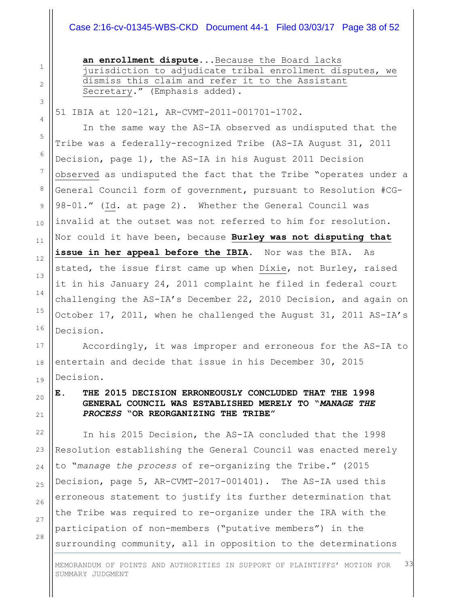# Case 2:16-cv-01345-WBS-CKD Document 44-1 Filed 03/03/17 Page 38 of 52

**an enrollment dispute**...Because the Board lacks jurisdiction to adjudicate tribal enrollment disputes, we dismiss this claim and refer it to the Assistant Secretary." (Emphasis added).

51 IBIA at 120-121, AR-CVMT-2011-001701-1702.

In the same way the AS-IA observed as undisputed that the Tribe was a federally-recognized Tribe (AS-IA August 31, 2011 Decision, page 1), the AS-IA in his August 2011 Decision observed as undisputed the fact that the Tribe "operates under a General Council form of government, pursuant to Resolution #CG-98-01." (Id. at page 2). Whether the General Council was invalid at the outset was not referred to him for resolution. Nor could it have been, because **Burley was not disputing that issue in her appeal before the IBIA**. Nor was the BIA. As stated, the issue first came up when Dixie, not Burley, raised it in his January 24, 2011 complaint he filed in federal court challenging the AS-IA's December 22, 2010 Decision, and again on October 17, 2011, when he challenged the August 31, 2011 AS-IA's Decision.

Accordingly, it was improper and erroneous for the AS-IA to entertain and decide that issue in his December 30, 2015 Decision.

# **E. THE 2015 DECISION ERRONEOUSLY CONCLUDED THAT THE 1998 GENERAL COUNCIL WAS ESTABLISHED MERELY TO "***MANAGE THE PROCESS* **"OR REORGANIZING THE TRIBE"**

In his 2015 Decision, the AS-IA concluded that the 1998 Resolution establishing the General Council was enacted merely to "*manage the process* of re-organizing the Tribe." (2015 Decision, page 5, AR-CVMT-2017-001401). The AS-IA used this erroneous statement to justify its further determination that the Tribe was required to re-organize under the IRA with the participation of non-members ("putative members") in the surrounding community, all in opposition to the determinations

10

11

12

13

14

15

16

17

18

19

20

21

22

23

24

25

26

27

28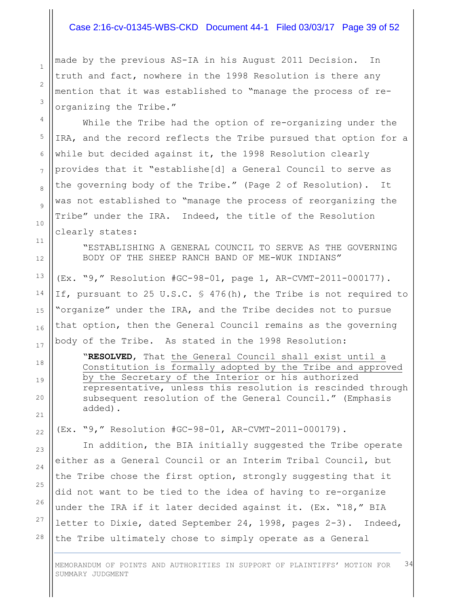## Case 2:16-cv-01345-WBS-CKD Document 44-1 Filed 03/03/17 Page 39 of 52

made by the previous AS-IA in his August 2011 Decision. In truth and fact, nowhere in the 1998 Resolution is there any mention that it was established to "manage the process of reorganizing the Tribe."

While the Tribe had the option of re-organizing under the IRA, and the record reflects the Tribe pursued that option for a while but decided against it, the 1998 Resolution clearly provides that it "establishe[d] a General Council to serve as the governing body of the Tribe." (Page 2 of Resolution). It was not established to "manage the process of reorganizing the Tribe" under the IRA. Indeed, the title of the Resolution clearly states:

"ESTABLISHING A GENERAL COUNCIL TO SERVE AS THE GOVERNING BODY OF THE SHEEP RANCH BAND OF ME-WUK INDIANS"

(Ex. "9," Resolution #GC-98-01, page 1, AR-CVMT-2011-000177). If, pursuant to 25 U.S.C. § 476(h), the Tribe is not required to "organize" under the IRA, and the Tribe decides not to pursue that option, then the General Council remains as the governing body of the Tribe. As stated in the 1998 Resolution:

"**RESOLVED**, That the General Council shall exist until a Constitution is formally adopted by the Tribe and approved by the Secretary of the Interior or his authorized representative, unless this resolution is rescinded through subsequent resolution of the General Council." (Emphasis added).

(Ex. "9," Resolution #GC-98-01, AR-CVMT-2011-000179).

In addition, the BIA initially suggested the Tribe operate either as a General Council or an Interim Tribal Council, but the Tribe chose the first option, strongly suggesting that it did not want to be tied to the idea of having to re-organize under the IRA if it later decided against it. (Ex. "18," BIA letter to Dixie, dated September 24, 1998, pages 2-3). Indeed, the Tribe ultimately chose to simply operate as a General

MEMORANDUM OF POINTS AND AUTHORITIES IN SUPPORT OF PLAINTIFFS' MOTION FOR SUMMARY JUDGMENT 34

1

2

3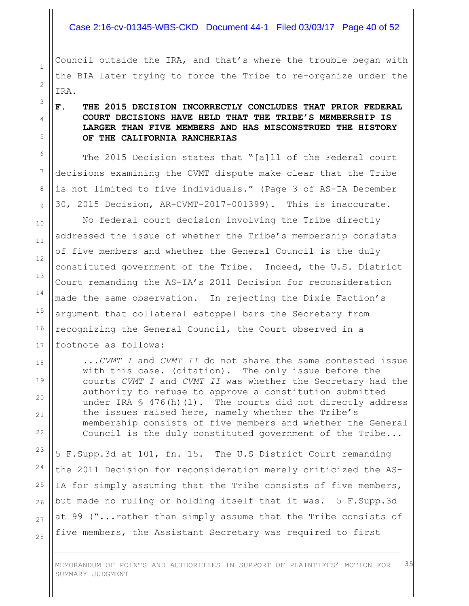#### Case 2:16-cv-01345-WBS-CKD Document 44-1 Filed 03/03/17 Page 40 of 52

Council outside the IRA, and that's where the trouble began with the BIA later trying to force the Tribe to re-organize under the IRA.

1

2

3

4

5

6

7

8

9

10

11

12

13

14

15

16

17

18

19

20

21

 $22$ 

23

24

25

26

27

28

# **F. THE 2015 DECISION INCORRECTLY CONCLUDES THAT PRIOR FEDERAL COURT DECISIONS HAVE HELD THAT THE TRIBE'S MEMBERSHIP IS LARGER THAN FIVE MEMBERS AND HAS MISCONSTRUED THE HISTORY OF THE CALIFORNIA RANCHERIAS**

The 2015 Decision states that "[a]ll of the Federal court decisions examining the CVMT dispute make clear that the Tribe is not limited to five individuals." (Page 3 of AS-IA December 30, 2015 Decision, AR-CVMT-2017-001399). This is inaccurate.

No federal court decision involving the Tribe directly addressed the issue of whether the Tribe's membership consists of five members and whether the General Council is the duly constituted government of the Tribe. Indeed, the U.S. District Court remanding the AS-IA's 2011 Decision for reconsideration made the same observation. In rejecting the Dixie Faction's argument that collateral estoppel bars the Secretary from recognizing the General Council, the Court observed in a footnote as follows:

...*CVMT I* and *CVMT II* do not share the same contested issue with this case. (citation). The only issue before the courts *CVMT I* and *CVMT II* was whether the Secretary had the authority to refuse to approve a constitution submitted under IRA § 476(h)(1). The courts did not directly address the issues raised here, namely whether the Tribe's membership consists of five members and whether the General Council is the duly constituted government of the Tribe...

5 F.Supp.3d at 101, fn. 15. The U.S District Court remanding the 2011 Decision for reconsideration merely criticized the AS-IA for simply assuming that the Tribe consists of five members, but made no ruling or holding itself that it was. 5 F.Supp.3d at 99 ("...rather than simply assume that the Tribe consists of five members, the Assistant Secretary was required to first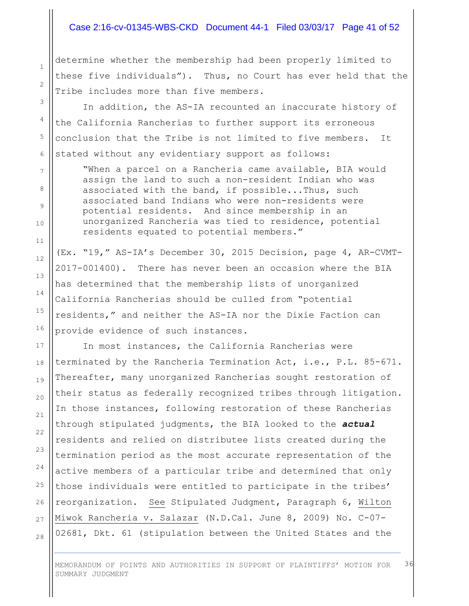## Case 2:16-cv-01345-WBS-CKD Document 44-1 Filed 03/03/17 Page 41 of 52

determine whether the membership had been properly limited to these five individuals"). Thus, no Court has ever held that the Tribe includes more than five members.

In addition, the AS-IA recounted an inaccurate history of the California Rancherias to further support its erroneous conclusion that the Tribe is not limited to five members. It stated without any evidentiary support as follows:

"When a parcel on a Rancheria came available, BIA would assign the land to such a non-resident Indian who was associated with the band, if possible...Thus, such associated band Indians who were non-residents were potential residents. And since membership in an unorganized Rancheria was tied to residence, potential residents equated to potential members."

(Ex. "19," AS-IA's December 30, 2015 Decision, page 4, AR-CVMT-2017-001400). There has never been an occasion where the BIA has determined that the membership lists of unorganized California Rancherias should be culled from "potential residents," and neither the AS-IA nor the Dixie Faction can provide evidence of such instances.

In most instances, the California Rancherias were terminated by the Rancheria Termination Act, i.e., P.L. 85-671. Thereafter, many unorganized Rancherias sought restoration of their status as federally recognized tribes through litigation. In those instances, following restoration of these Rancherias through stipulated judgments, the BIA looked to the *actual* residents and relied on distributee lists created during the termination period as the most accurate representation of the active members of a particular tribe and determined that only those individuals were entitled to participate in the tribes' reorganization. See Stipulated Judgment, Paragraph 6, Wilton Miwok Rancheria v. Salazar (N.D.Cal. June 8, 2009) No. C-07- 02681, Dkt. 61 (stipulation between the United States and the

MEMORANDUM OF POINTS AND AUTHORITIES IN SUPPORT OF PLAINTIFFS' MOTION FOR SUMMARY JUDGMENT 36

28

1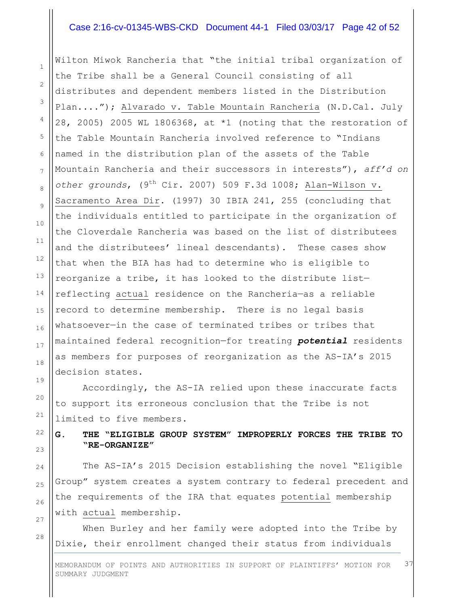#### Case 2:16-cv-01345-WBS-CKD Document 44-1 Filed 03/03/17 Page 42 of 52

Wilton Miwok Rancheria that "the initial tribal organization of the Tribe shall be a General Council consisting of all distributes and dependent members listed in the Distribution Plan...."); Alvarado v. Table Mountain Rancheria (N.D.Cal. July 28, 2005) 2005 WL 1806368, at \*1 (noting that the restoration of the Table Mountain Rancheria involved reference to "Indians named in the distribution plan of the assets of the Table Mountain Rancheria and their successors in interests"), *aff'd on other grounds*, (9th Cir. 2007) 509 F.3d 1008; Alan-Wilson v. Sacramento Area Dir. (1997) 30 IBIA 241, 255 (concluding that the individuals entitled to participate in the organization of the Cloverdale Rancheria was based on the list of distributees and the distributees' lineal descendants). These cases show that when the BIA has had to determine who is eligible to reorganize a tribe, it has looked to the distribute list reflecting actual residence on the Rancheria—as a reliable record to determine membership. There is no legal basis whatsoever—in the case of terminated tribes or tribes that maintained federal recognition—for treating *potential* residents as members for purposes of reorganization as the AS-IA's 2015 decision states.

Accordingly, the AS-IA relied upon these inaccurate facts to support its erroneous conclusion that the Tribe is not limited to five members.

**G. THE "ELIGIBLE GROUP SYSTEM" IMPROPERLY FORCES THE TRIBE TO "RE-ORGANIZE"**

The AS-IA's 2015 Decision establishing the novel "Eligible Group" system creates a system contrary to federal precedent and the requirements of the IRA that equates potential membership with actual membership.

When Burley and her family were adopted into the Tribe by Dixie, their enrollment changed their status from individuals

MEMORANDUM OF POINTS AND AUTHORITIES IN SUPPORT OF PLAINTIFFS' MOTION FOR SUMMARY JUDGMENT 37

1

2

3

4

5

6

7

8

9

10

11

12

13

28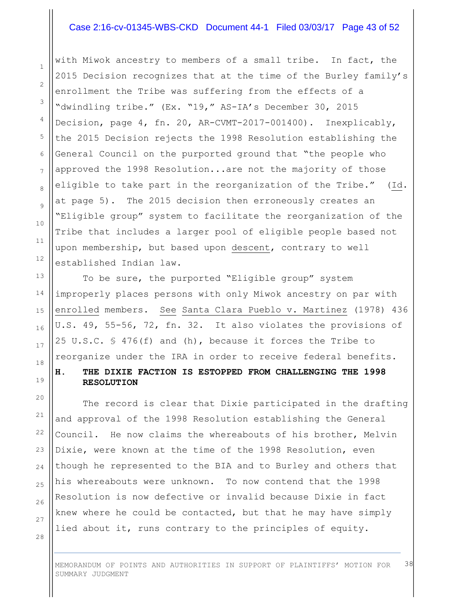## Case 2:16-cv-01345-WBS-CKD Document 44-1 Filed 03/03/17 Page 43 of 52

with Miwok ancestry to members of a small tribe. In fact, the 2015 Decision recognizes that at the time of the Burley family's enrollment the Tribe was suffering from the effects of a "dwindling tribe." (Ex. "19," AS-IA's December 30, 2015 Decision, page 4, fn. 20, AR-CVMT-2017-001400). Inexplicably, the 2015 Decision rejects the 1998 Resolution establishing the General Council on the purported ground that "the people who approved the 1998 Resolution...are not the majority of those eligible to take part in the reorganization of the Tribe." (Id. at page 5). The 2015 decision then erroneously creates an "Eligible group" system to facilitate the reorganization of the Tribe that includes a larger pool of eligible people based not upon membership, but based upon descent, contrary to well established Indian law.

To be sure, the purported "Eligible group" system improperly places persons with only Miwok ancestry on par with enrolled members. See Santa Clara Pueblo v. Martinez (1978) 436 U.S. 49, 55-56, 72, fn. 32. It also violates the provisions of 25 U.S.C. § 476(f) and (h), because it forces the Tribe to reorganize under the IRA in order to receive federal benefits.

## **H. THE DIXIE FACTION IS ESTOPPED FROM CHALLENGING THE 1998 RESOLUTION**

The record is clear that Dixie participated in the drafting and approval of the 1998 Resolution establishing the General Council. He now claims the whereabouts of his brother, Melvin Dixie, were known at the time of the 1998 Resolution, even though he represented to the BIA and to Burley and others that his whereabouts were unknown. To now contend that the 1998 Resolution is now defective or invalid because Dixie in fact knew where he could be contacted, but that he may have simply lied about it, runs contrary to the principles of equity.

MEMORANDUM OF POINTS AND AUTHORITIES IN SUPPORT OF PLAINTIFFS' MOTION FOR SUMMARY JUDGMENT 38

23

24

25

26

27

28

1

2

3

4

5

6

7

8

9

10

11

12

13

14

15

16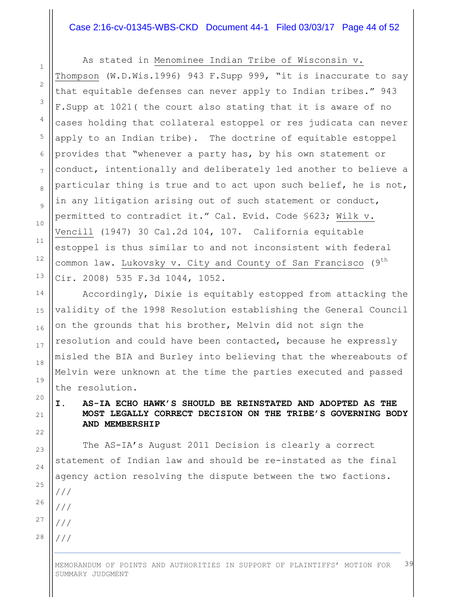## Case 2:16-cv-01345-WBS-CKD Document 44-1 Filed 03/03/17 Page 44 of 52

7

8

9

10

11

12

13

14

15

16

17

18

19

20

21

22

23

24

25

26

27

28

As stated in Menominee Indian Tribe of Wisconsin v.

Thompson (W.D.Wis.1996) 943 F.Supp 999, "it is inaccurate to say that equitable defenses can never apply to Indian tribes." 943 F.Supp at 1021( the court also stating that it is aware of no cases holding that collateral estoppel or res judicata can never apply to an Indian tribe). The doctrine of equitable estoppel provides that "whenever a party has, by his own statement or conduct, intentionally and deliberately led another to believe a particular thing is true and to act upon such belief, he is not, in any litigation arising out of such statement or conduct, permitted to contradict it." Cal. Evid. Code §623; Wilk v. Vencill (1947) 30 Cal.2d 104, 107. California equitable estoppel is thus similar to and not inconsistent with federal common law. Lukovsky v. City and County of San Francisco (9<sup>th</sup> Cir. 2008) 535 F.3d 1044, 1052.

Accordingly, Dixie is equitably estopped from attacking the validity of the 1998 Resolution establishing the General Council on the grounds that his brother, Melvin did not sign the resolution and could have been contacted, because he expressly misled the BIA and Burley into believing that the whereabouts of Melvin were unknown at the time the parties executed and passed the resolution.

# **I. AS-IA ECHO HAWK'S SHOULD BE REINSTATED AND ADOPTED AS THE MOST LEGALLY CORRECT DECISION ON THE TRIBE'S GOVERNING BODY AND MEMBERSHIP**

The AS-IA's August 2011 Decision is clearly a correct statement of Indian law and should be re-instated as the final agency action resolving the dispute between the two factions. /// /// /// ///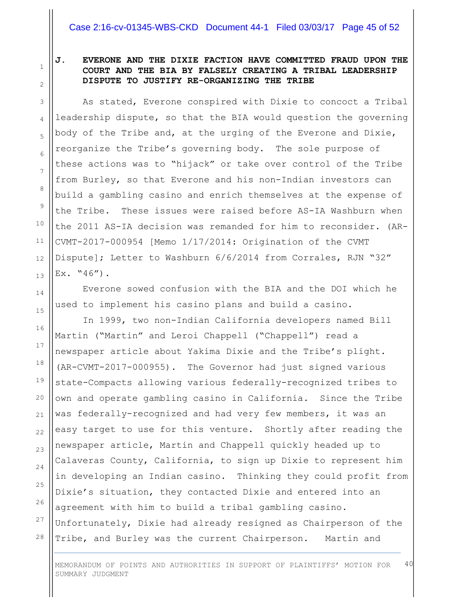1

2

3

4

5

6

7

8

# **J. EVERONE AND THE DIXIE FACTION HAVE COMMITTED FRAUD UPON THE COURT AND THE BIA BY FALSELY CREATING A TRIBAL LEADERSHIP DISPUTE TO JUSTIFY RE-ORGANIZING THE TRIBE**

As stated, Everone conspired with Dixie to concoct a Tribal leadership dispute, so that the BIA would question the governing body of the Tribe and, at the urging of the Everone and Dixie, reorganize the Tribe's governing body. The sole purpose of these actions was to "hijack" or take over control of the Tribe from Burley, so that Everone and his non-Indian investors can build a gambling casino and enrich themselves at the expense of the Tribe. These issues were raised before AS-IA Washburn when the 2011 AS-IA decision was remanded for him to reconsider. (AR-CVMT-2017-000954 [Memo 1/17/2014: Origination of the CVMT Dispute]; Letter to Washburn 6/6/2014 from Corrales, RJN "32"  $Ex.$  "46").

Everone sowed confusion with the BIA and the DOI which he used to implement his casino plans and build a casino.

In 1999, two non-Indian California developers named Bill Martin ("Martin" and Leroi Chappell ("Chappell") read a newspaper article about Yakima Dixie and the Tribe's plight. (AR-CVMT-2017-000955). The Governor had just signed various state-Compacts allowing various federally-recognized tribes to own and operate gambling casino in California. Since the Tribe was federally-recognized and had very few members, it was an easy target to use for this venture. Shortly after reading the newspaper article, Martin and Chappell quickly headed up to Calaveras County, California, to sign up Dixie to represent him in developing an Indian casino. Thinking they could profit from Dixie's situation, they contacted Dixie and entered into an agreement with him to build a tribal gambling casino. Unfortunately, Dixie had already resigned as Chairperson of the Tribe, and Burley was the current Chairperson. Martin and

MEMORANDUM OF POINTS AND AUTHORITIES IN SUPPORT OF PLAINTIFFS' MOTION FOR SUMMARY JUDGMENT 40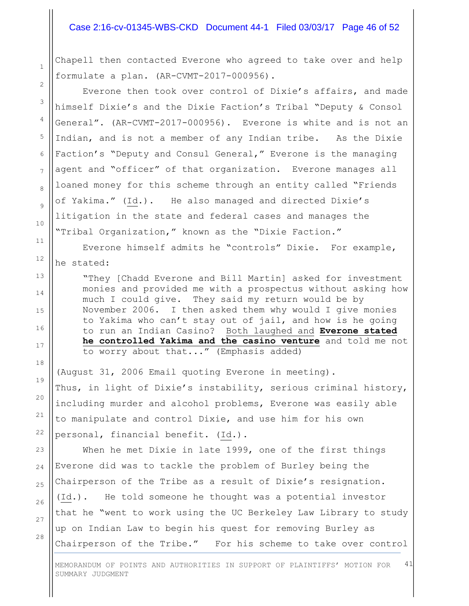#### Case 2:16-cv-01345-WBS-CKD Document 44-1 Filed 03/03/17 Page 46 of 52

Chapell then contacted Everone who agreed to take over and help formulate a plan. (AR-CVMT-2017-000956).

Everone then took over control of Dixie's affairs, and made himself Dixie's and the Dixie Faction's Tribal "Deputy & Consol General". (AR-CVMT-2017-000956). Everone is white and is not an Indian, and is not a member of any Indian tribe. As the Dixie Faction's "Deputy and Consul General," Everone is the managing agent and "officer" of that organization. Everone manages all loaned money for this scheme through an entity called "Friends of Yakima." (Id.). He also managed and directed Dixie's litigation in the state and federal cases and manages the "Tribal Organization," known as the "Dixie Faction."

Everone himself admits he "controls" Dixie. For example, he stated:

"They [Chadd Everone and Bill Martin] asked for investment monies and provided me with a prospectus without asking how much I could give. They said my return would be by November 2006. I then asked them why would I give monies to Yakima who can't stay out of jail, and how is he going to run an Indian Casino? Both laughed and **Everone stated he controlled Yakima and the casino venture** and told me not to worry about that..." (Emphasis added)

(August 31, 2006 Email quoting Everone in meeting). Thus, in light of Dixie's instability, serious criminal history, including murder and alcohol problems, Everone was easily able to manipulate and control Dixie, and use him for his own personal, financial benefit. (Id.).

When he met Dixie in late 1999, one of the first things Everone did was to tackle the problem of Burley being the Chairperson of the Tribe as a result of Dixie's resignation. (Id.). He told someone he thought was a potential investor that he "went to work using the UC Berkeley Law Library to study up on Indian Law to begin his quest for removing Burley as Chairperson of the Tribe." For his scheme to take over control

26 27

28

1

2

3

4

5

6

7

8

9

10

11

12

13

14

15

16

17

18

19

20

21

22

23

24

25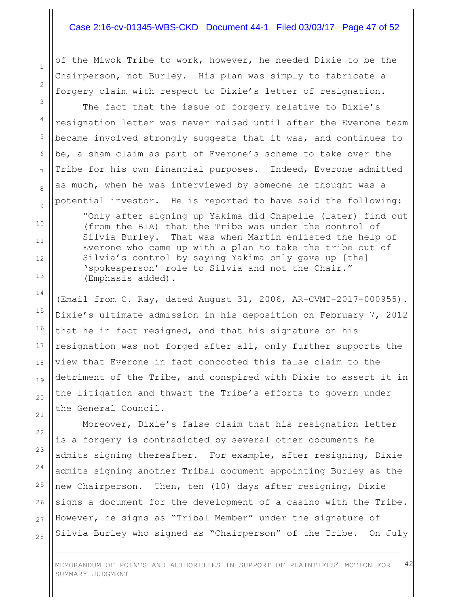#### Case 2:16-cv-01345-WBS-CKD Document 44-1 Filed 03/03/17 Page 47 of 52

of the Miwok Tribe to work, however, he needed Dixie to be the Chairperson, not Burley. His plan was simply to fabricate a forgery claim with respect to Dixie's letter of resignation.

The fact that the issue of forgery relative to Dixie's resignation letter was never raised until after the Everone team became involved strongly suggests that it was, and continues to be, a sham claim as part of Everone's scheme to take over the Tribe for his own financial purposes. Indeed, Everone admitted as much, when he was interviewed by someone he thought was a potential investor. He is reported to have said the following:

"Only after signing up Yakima did Chapelle (later) find out (from the BIA) that the Tribe was under the control of Silvia Burley. That was when Martin enlisted the help of Everone who came up with a plan to take the tribe out of Silvia's control by saying Yakima only gave up [the] 'spokesperson' role to Silvia and not the Chair." (Emphasis added).

(Email from C. Ray, dated August 31, 2006, AR-CVMT-2017-000955). Dixie's ultimate admission in his deposition on February 7, 2012 that he in fact resigned, and that his signature on his resignation was not forged after all, only further supports the view that Everone in fact concocted this false claim to the detriment of the Tribe, and conspired with Dixie to assert it in the litigation and thwart the Tribe's efforts to govern under the General Council.

Moreover, Dixie's false claim that his resignation letter is a forgery is contradicted by several other documents he admits signing thereafter. For example, after resigning, Dixie admits signing another Tribal document appointing Burley as the new Chairperson. Then, ten (10) days after resigning, Dixie signs a document for the development of a casino with the Tribe. However, he signs as "Tribal Member" under the signature of Silvia Burley who signed as "Chairperson" of the Tribe. On July

MEMORANDUM OF POINTS AND AUTHORITIES IN SUPPORT OF PLAINTIFFS' MOTION FOR SUMMARY JUDGMENT 42

1

2

3

4

5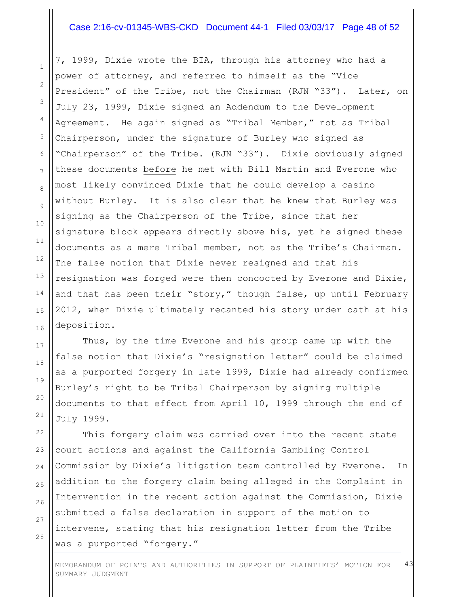#### Case 2:16-cv-01345-WBS-CKD Document 44-1 Filed 03/03/17 Page 48 of 52

7, 1999, Dixie wrote the BIA, through his attorney who had a power of attorney, and referred to himself as the "Vice President" of the Tribe, not the Chairman (RJN "33"). Later, on July 23, 1999, Dixie signed an Addendum to the Development Agreement. He again signed as "Tribal Member," not as Tribal Chairperson, under the signature of Burley who signed as "Chairperson" of the Tribe. (RJN "33"). Dixie obviously signed these documents before he met with Bill Martin and Everone who most likely convinced Dixie that he could develop a casino without Burley. It is also clear that he knew that Burley was signing as the Chairperson of the Tribe, since that her signature block appears directly above his, yet he signed these documents as a mere Tribal member, not as the Tribe's Chairman. The false notion that Dixie never resigned and that his resignation was forged were then concocted by Everone and Dixie, and that has been their "story," though false, up until February 2012, when Dixie ultimately recanted his story under oath at his deposition.

Thus, by the time Everone and his group came up with the false notion that Dixie's "resignation letter" could be claimed as a purported forgery in late 1999, Dixie had already confirmed Burley's right to be Tribal Chairperson by signing multiple documents to that effect from April 10, 1999 through the end of July 1999.

This forgery claim was carried over into the recent state court actions and against the California Gambling Control Commission by Dixie's litigation team controlled by Everone. In addition to the forgery claim being alleged in the Complaint in Intervention in the recent action against the Commission, Dixie submitted a false declaration in support of the motion to intervene, stating that his resignation letter from the Tribe was a purported "forgery."

MEMORANDUM OF POINTS AND AUTHORITIES IN SUPPORT OF PLAINTIFFS' MOTION FOR SUMMARY JUDGMENT 43

1

2

3

4

5

6

7

8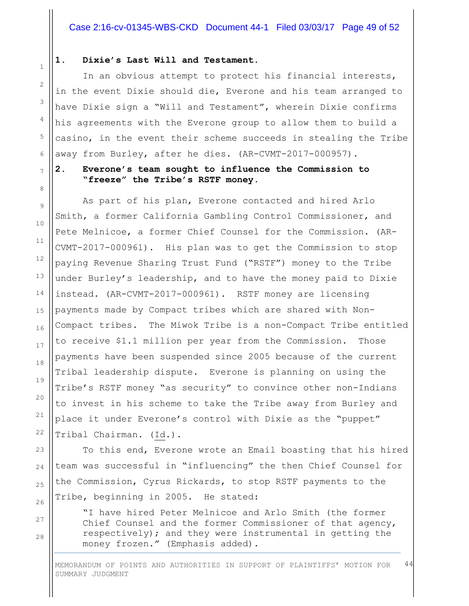#### **1. Dixie's Last Will and Testament.**

In an obvious attempt to protect his financial interests, in the event Dixie should die, Everone and his team arranged to have Dixie sign a "Will and Testament", wherein Dixie confirms his agreements with the Everone group to allow them to build a casino, in the event their scheme succeeds in stealing the Tribe away from Burley, after he dies. (AR-CVMT-2017-000957).

# **2. Everone's team sought to influence the Commission to "freeze" the Tribe's RSTF money.**

As part of his plan, Everone contacted and hired Arlo Smith, a former California Gambling Control Commissioner, and Pete Melnicoe, a former Chief Counsel for the Commission. (AR-CVMT-2017-000961). His plan was to get the Commission to stop paying Revenue Sharing Trust Fund ("RSTF") money to the Tribe under Burley's leadership, and to have the money paid to Dixie instead. (AR-CVMT-2017-000961). RSTF money are licensing payments made by Compact tribes which are shared with Non-Compact tribes. The Miwok Tribe is a non-Compact Tribe entitled to receive \$1.1 million per year from the Commission. Those payments have been suspended since 2005 because of the current Tribal leadership dispute. Everone is planning on using the Tribe's RSTF money "as security" to convince other non-Indians to invest in his scheme to take the Tribe away from Burley and place it under Everone's control with Dixie as the "puppet" Tribal Chairman. (Id.).

To this end, Everone wrote an Email boasting that his hired team was successful in "influencing" the then Chief Counsel for the Commission, Cyrus Rickards, to stop RSTF payments to the Tribe, beginning in 2005. He stated:

"I have hired Peter Melnicoe and Arlo Smith (the former Chief Counsel and the former Commissioner of that agency, respectively); and they were instrumental in getting the money frozen." (Emphasis added).

MEMORANDUM OF POINTS AND AUTHORITIES IN SUPPORT OF PLAINTIFFS' MOTION FOR SUMMARY JUDGMENT 44

1

2

3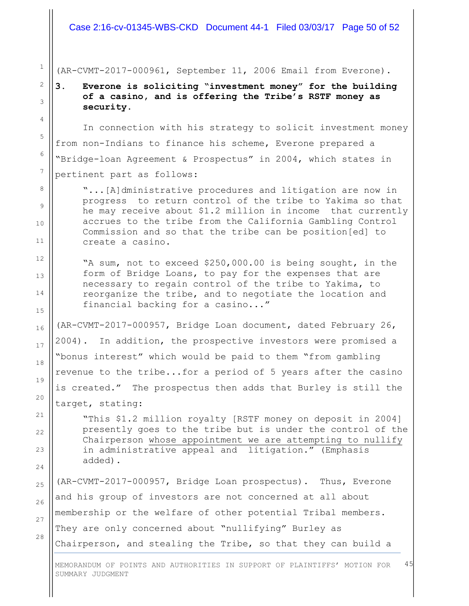Case 2:16-cv-01345-WBS-CKD Document 44-1 Filed 03/03/17 Page 50 of 52

(AR-CVMT-2017-000961, September 11, 2006 Email from Everone).

**3. Everone is soliciting "investment money" for the building of a casino, and is offering the Tribe's RSTF money as security.**

In connection with his strategy to solicit investment money from non-Indians to finance his scheme, Everone prepared a "Bridge-loan Agreement & Prospectus" in 2004, which states in pertinent part as follows:

"...[A]dministrative procedures and litigation are now in progress to return control of the tribe to Yakima so that he may receive about \$1.2 million in income that currently accrues to the tribe from the California Gambling Control Commission and so that the tribe can be position[ed] to create a casino.

"A sum, not to exceed \$250,000.00 is being sought, in the form of Bridge Loans, to pay for the expenses that are necessary to regain control of the tribe to Yakima, to reorganize the tribe, and to negotiate the location and financial backing for a casino..."

(AR-CVMT-2017-000957, Bridge Loan document, dated February 26, 2004). In addition, the prospective investors were promised a "bonus interest" which would be paid to them "from gambling revenue to the tribe...for a period of 5 years after the casino is created." The prospectus then adds that Burley is still the target, stating:

"This \$1.2 million royalty [RSTF money on deposit in 2004] presently goes to the tribe but is under the control of the Chairperson whose appointment we are attempting to nullify in administrative appeal and litigation." (Emphasis added).

(AR-CVMT-2017-000957, Bridge Loan prospectus). Thus, Everone and his group of investors are not concerned at all about membership or the welfare of other potential Tribal members. They are only concerned about "nullifying" Burley as Chairperson, and stealing the Tribe, so that they can build a

MEMORANDUM OF POINTS AND AUTHORITIES IN SUPPORT OF PLAINTIFFS' MOTION FOR SUMMARY JUDGMENT 45

27

28

1

2

3

4

5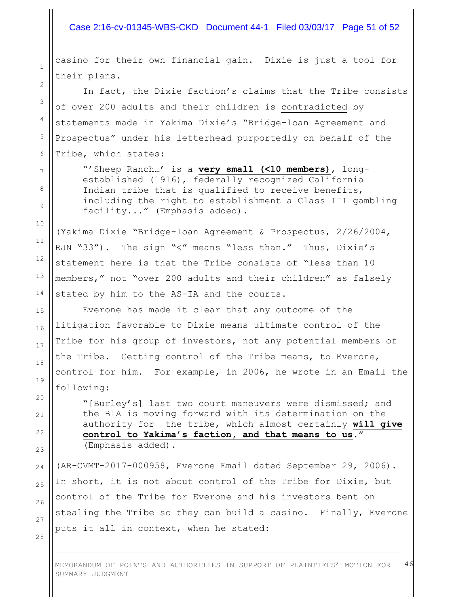#### Case 2:16-cv-01345-WBS-CKD Document 44-1 Filed 03/03/17 Page 51 of 52

casino for their own financial gain. Dixie is just a tool for their plans.

1

2

3

4

5

6

7

8

9

10

11

12

13

14

15

16

17

18

19

20

21

 $22$ 

23

24

25

26

27

28

In fact, the Dixie faction's claims that the Tribe consists of over 200 adults and their children is contradicted by statements made in Yakima Dixie's "Bridge-loan Agreement and Prospectus" under his letterhead purportedly on behalf of the Tribe, which states:

"'Sheep Ranch…' is a **very small (<10 members)**, longestablished (1916), federally recognized California Indian tribe that is qualified to receive benefits, including the right to establishment a Class III gambling facility..." (Emphasis added).

(Yakima Dixie "Bridge-loan Agreement & Prospectus, 2/26/2004, RJN "33"). The sign "<" means "less than." Thus, Dixie's statement here is that the Tribe consists of "less than 10 members," not "over 200 adults and their children" as falsely stated by him to the AS-IA and the courts.

Everone has made it clear that any outcome of the litigation favorable to Dixie means ultimate control of the Tribe for his group of investors, not any potential members of the Tribe. Getting control of the Tribe means, to Everone, control for him. For example, in 2006, he wrote in an Email the following:

"[Burley's] last two court maneuvers were dismissed; and the BIA is moving forward with its determination on the authority for the tribe, which almost certainly **will give control to Yakima's faction, and that means to us**." (Emphasis added).

(AR-CVMT-2017-000958, Everone Email dated September 29, 2006). In short, it is not about control of the Tribe for Dixie, but control of the Tribe for Everone and his investors bent on stealing the Tribe so they can build a casino. Finally, Everone puts it all in context, when he stated: